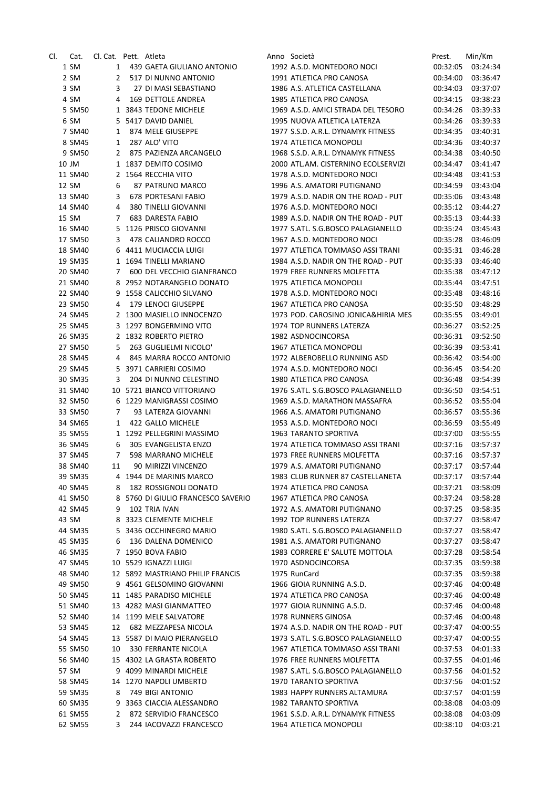| CI. | Cat.    | Cl. Cat. Pett. Atleta |                                               | Anno Società                        | Prest.   | Min/Km   |
|-----|---------|-----------------------|-----------------------------------------------|-------------------------------------|----------|----------|
|     | 1 SM    |                       | 1 439 GAETA GIULIANO ANTONIO                  | 1992 A.S.D. MONTEDORO NOCI          | 00:32:05 | 03:24:34 |
|     | 2 SM    | $\mathbf{2}$          | 517 DI NUNNO ANTONIO                          | 1991 ATLETICA PRO CANOSA            | 00:34:00 | 03:36:47 |
|     | 3 SM    | 3                     | 27 DI MASI SEBASTIANO                         | 1986 A.S. ATLETICA CASTELLANA       | 00:34:03 | 03:37:07 |
|     | 4 SM    | 4                     | 169 DETTOLE ANDREA                            | 1985 ATLETICA PRO CANOSA            | 00:34:15 | 03:38:23 |
|     | 5 SM50  |                       | 1 3843 TEDONE MICHELE                         | 1969 A.S.D. AMICI STRADA DEL TESORO | 00:34:26 | 03:39:33 |
|     | 6 SM    |                       | 5 5417 DAVID DANIEL                           | 1995 NUOVA ATLETICA LATERZA         | 00:34:26 | 03:39:33 |
|     | 7 SM40  | 1                     | 874 MELE GIUSEPPE                             | 1977 S.S.D. A.R.L. DYNAMYK FITNESS  | 00:34:35 | 03:40:31 |
|     | 8 SM45  | 1                     | 287 ALO' VITO                                 | 1974 ATLETICA MONOPOLI              | 00:34:36 | 03:40:37 |
|     | 9 SM50  | $\mathbf{2}$          | 875 PAZIENZA ARCANGELO                        | 1968 S.S.D. A.R.L. DYNAMYK FITNESS  | 00:34:38 | 03:40:50 |
|     | 10 JM   |                       | 1 1837 DEMITO COSIMO                          | 2000 ATL.AM. CISTERNINO ECOLSERVIZI | 00:34:47 | 03:41:47 |
|     | 11 SM40 |                       | 2 1564 RECCHIA VITO                           | 1978 A.S.D. MONTEDORO NOCI          | 00:34:48 | 03:41:53 |
|     | 12 SM   | 6                     | 87 PATRUNO MARCO                              | 1996 A.S. AMATORI PUTIGNANO         | 00:34:59 | 03:43:04 |
|     | 13 SM40 | 3                     | 678 PORTESANI FABIO                           | 1979 A.S.D. NADIR ON THE ROAD - PUT | 00:35:06 | 03:43:48 |
|     | 14 SM40 | 4                     | 380 TINELLI GIOVANNI                          | 1976 A.S.D. MONTEDORO NOCI          | 00:35:12 | 03:44:27 |
|     | 15 SM   | 7                     | <b>683 DARESTA FABIO</b>                      | 1989 A.S.D. NADIR ON THE ROAD - PUT |          | 03:44:33 |
|     |         |                       |                                               |                                     | 00:35:13 |          |
|     | 16 SM40 |                       | 5 1126 PRISCO GIOVANNI<br>478 CALIANDRO ROCCO | 1977 S.ATL. S.G.BOSCO PALAGIANELLO  | 00:35:24 | 03:45:43 |
|     | 17 SM50 | 3                     |                                               | 1967 A.S.D. MONTEDORO NOCI          | 00:35:28 | 03:46:09 |
|     | 18 SM40 |                       | 6 4411 MUCIACCIA LUIGI                        | 1977 ATLETICA TOMMASO ASSI TRANI    | 00:35:31 | 03:46:28 |
|     | 19 SM35 |                       | 1 1694 TINELLI MARIANO                        | 1984 A.S.D. NADIR ON THE ROAD - PUT | 00:35:33 | 03:46:40 |
|     | 20 SM40 | $\overline{7}$        | 600 DEL VECCHIO GIANFRANCO                    | 1979 FREE RUNNERS MOLFETTA          | 00:35:38 | 03:47:12 |
|     | 21 SM40 |                       | 8 2952 NOTARANGELO DONATO                     | 1975 ATLETICA MONOPOLI              | 00:35:44 | 03:47:51 |
|     | 22 SM40 |                       | 9 1558 CALICCHIO SILVANO                      | 1978 A.S.D. MONTEDORO NOCI          | 00:35:48 | 03:48:16 |
|     | 23 SM50 | 4                     | 179 LENOCI GIUSEPPE                           | 1967 ATLETICA PRO CANOSA            | 00:35:50 | 03:48:29 |
|     | 24 SM45 |                       | 2 1300 MASIELLO INNOCENZO                     | 1973 POD, CAROSINO JONICA&HIRIA MES | 00:35:55 | 03:49:01 |
|     | 25 SM45 |                       | 3 1297 BONGERMINO VITO                        | 1974 TOP RUNNERS LATERZA            | 00:36:27 | 03:52:25 |
|     | 26 SM35 |                       | 2 1832 ROBERTO PIETRO                         | 1982 ASDNOCINCORSA                  | 00:36:31 | 03:52:50 |
|     | 27 SM50 | 5                     | 263 GUGLIELMI NICOLO'                         | 1967 ATLETICA MONOPOLI              | 00:36:39 | 03:53:41 |
|     | 28 SM45 | 4                     | 845 MARRA ROCCO ANTONIO                       | 1972 ALBEROBELLO RUNNING ASD        | 00:36:42 | 03:54:00 |
|     | 29 SM45 |                       | 5 3971 CARRIERI COSIMO                        | 1974 A.S.D. MONTEDORO NOCI          | 00:36:45 | 03:54:20 |
|     | 30 SM35 | 3                     | 204 DI NUNNO CELESTINO                        | 1980 ATLETICA PRO CANOSA            | 00:36:48 | 03:54:39 |
|     | 31 SM40 |                       | 10 5721 BIANCO VITTORIANO                     | 1976 S.ATL. S.G.BOSCO PALAGIANELLO  | 00:36:50 | 03:54:51 |
|     | 32 SM50 |                       | 6 1229 MANIGRASSI COSIMO                      | 1969 A.S.D. MARATHON MASSAFRA       | 00:36:52 | 03:55:04 |
|     | 33 SM50 | 7                     | 93 LATERZA GIOVANNI                           | 1966 A.S. AMATORI PUTIGNANO         | 00:36:57 | 03:55:36 |
|     | 34 SM65 | 1                     | 422 GALLO MICHELE                             | 1953 A.S.D. MONTEDORO NOCI          | 00:36:59 | 03:55:49 |
|     | 35 SM55 |                       | 1 1292 PELLEGRINI MASSIMO                     | 1963 TARANTO SPORTIVA               | 00:37:00 | 03:55:55 |
|     | 36 SM45 | 6                     | 305 EVANGELISTA ENZO                          | 1974 ATLETICA TOMMASO ASSI TRANI    | 00:37:16 | 03:57:37 |
|     | 37 SM45 | 7                     | 598 MARRANO MICHELE                           | 1973 FREE RUNNERS MOLFETTA          | 00:37:16 | 03:57:37 |
|     | 38 SM40 | 11                    | 90 MIRIZZI VINCENZO                           | 1979 A.S. AMATORI PUTIGNANO         | 00:37:17 | 03:57:44 |
|     | 39 SM35 | 4                     | 1944 DE MARINIS MARCO                         | 1983 CLUB RUNNER 87 CASTELLANETA    | 00:37:17 | 03:57:44 |
|     | 40 SM45 | 8                     | <b>182 ROSSIGNOLI DONATO</b>                  | 1974 ATLETICA PRO CANOSA            | 00:37:21 | 03:58:09 |
|     | 41 SM50 | 8                     | 5760 DI GIULIO FRANCESCO SAVERIO              | 1967 ATLETICA PRO CANOSA            | 00:37:24 | 03:58:28 |
|     | 42 SM45 | 9                     | 102 TRIA IVAN                                 | 1972 A.S. AMATORI PUTIGNANO         | 00:37:25 | 03:58:35 |
|     | 43 SM   |                       | 8 3323 CLEMENTE MICHELE                       | 1992 TOP RUNNERS LATERZA            | 00:37:27 | 03:58:47 |
|     | 44 SM35 | 5                     | 3436 OCCHINEGRO MARIO                         | 1980 S.ATL. S.G.BOSCO PALAGIANELLO  | 00:37:27 | 03:58:47 |
|     | 45 SM35 | 6                     | 136 DALENA DOMENICO                           | 1981 A.S. AMATORI PUTIGNANO         | 00:37:27 | 03:58:47 |
|     | 46 SM35 |                       | 7 1950 BOVA FABIO                             | 1983 CORRERE E' SALUTE MOTTOLA      | 00:37:28 | 03:58:54 |
|     | 47 SM45 |                       | 10 5529 IGNAZZI LUIGI                         | 1970 ASDNOCINCORSA                  | 00:37:35 | 03:59:38 |
|     | 48 SM40 |                       | 12 5892 MASTRIANO PHILIP FRANCIS              | 1975 RunCard                        | 00:37:35 | 03:59:38 |
|     | 49 SM50 |                       | 9 4561 GELSOMINO GIOVANNI                     | 1966 GIOIA RUNNING A.S.D.           | 00:37:46 | 04:00:48 |
|     | 50 SM45 |                       | 11 1485 PARADISO MICHELE                      | 1974 ATLETICA PRO CANOSA            | 00:37:46 | 04:00:48 |
|     | 51 SM40 |                       | 13 4282 MASI GIANMATTEO                       | 1977 GIOIA RUNNING A.S.D.           | 00:37:46 | 04:00:48 |
|     | 52 SM40 |                       | 14 1199 MELE SALVATORE                        | 1978 RUNNERS GINOSA                 | 00:37:46 | 04:00:48 |
|     | 53 SM45 | 12                    | 682 MEZZAPESA NICOLA                          | 1974 A.S.D. NADIR ON THE ROAD - PUT | 00:37:47 | 04:00:55 |
|     | 54 SM45 |                       | 13 5587 DI MAIO PIERANGELO                    | 1973 S.ATL. S.G.BOSCO PALAGIANELLO  | 00:37:47 | 04:00:55 |
|     | 55 SM50 | 10                    | 330 FERRANTE NICOLA                           | 1967 ATLETICA TOMMASO ASSI TRANI    | 00:37:53 | 04:01:33 |
|     | 56 SM40 |                       | 15 4302 LA GRASTA ROBERTO                     | 1976 FREE RUNNERS MOLFETTA          |          | 04:01:46 |
|     |         |                       |                                               |                                     | 00:37:55 |          |
|     | 57 SM   |                       | 9 4099 MINARDI MICHELE                        | 1987 S.ATL. S.G.BOSCO PALAGIANELLO  | 00:37:56 | 04:01:52 |
|     | 58 SM45 |                       | 14 1270 NAPOLI UMBERTO                        | 1970 TARANTO SPORTIVA               | 00:37:56 | 04:01:52 |
|     | 59 SM35 | 8                     | 749 BIGI ANTONIO                              | 1983 HAPPY RUNNERS ALTAMURA         | 00:37:57 | 04:01:59 |
|     | 60 SM35 | 9                     | 3363 CIACCIA ALESSANDRO                       | 1982 TARANTO SPORTIVA               | 00:38:08 | 04:03:09 |
|     | 61 SM55 | 2                     | 872 SERVIDIO FRANCESCO                        | 1961 S.S.D. A.R.L. DYNAMYK FITNESS  | 00:38:08 | 04:03:09 |
|     | 62 SM55 | 3                     | 244 IACOVAZZI FRANCESCO                       | 1964 ATLETICA MONOPOLI              | 00:38:10 | 04:03:21 |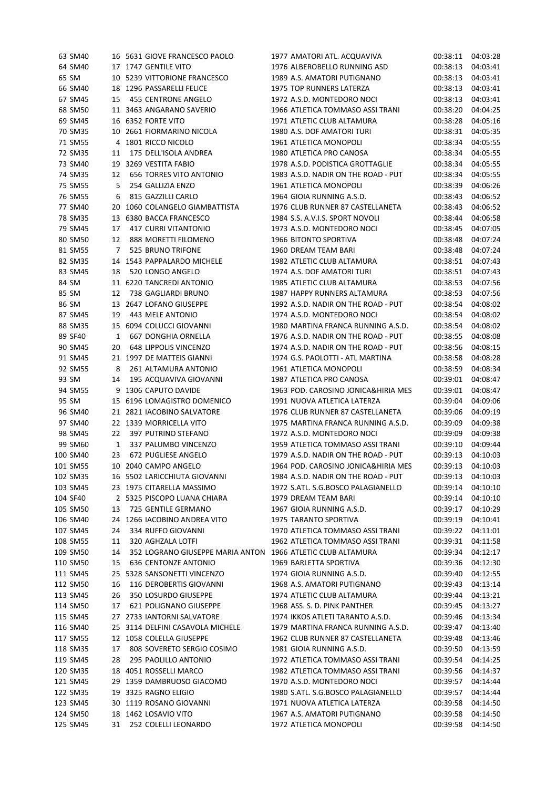|       | 63 SM40  |              | 16 5631 GIOVE FRANCESCO PAOLO                               | 1977 AMATORI ATL. ACQUAVIVA         | 00:38:11 | 04:03:28 |
|-------|----------|--------------|-------------------------------------------------------------|-------------------------------------|----------|----------|
|       | 64 SM40  |              | 17 1747 GENTILE VITO                                        | 1976 ALBEROBELLO RUNNING ASD        | 00:38:13 | 04:03:41 |
| 65 SM |          |              | 10 5239 VITTORIONE FRANCESCO                                | 1989 A.S. AMATORI PUTIGNANO         | 00:38:13 | 04:03:41 |
|       | 66 SM40  | 18           | 1296 PASSARELLI FELICE                                      | 1975 TOP RUNNERS LATERZA            | 00:38:13 | 04:03:41 |
|       | 67 SM45  | 15           | 455 CENTRONE ANGELO                                         | 1972 A.S.D. MONTEDORO NOCI          | 00:38:13 | 04:03:41 |
|       | 68 SM50  |              | 11 3463 ANGARANO SAVERIO                                    | 1966 ATLETICA TOMMASO ASSI TRANI    | 00:38:20 | 04:04:25 |
|       | 69 SM45  |              | 16 6352 FORTE VITO                                          | 1971 ATLETIC CLUB ALTAMURA          | 00:38:28 | 04:05:16 |
|       | 70 SM35  |              | 10 2661 FIORMARINO NICOLA                                   | 1980 A.S. DOF AMATORI TURI          | 00:38:31 | 04:05:35 |
|       | 71 SM55  |              | 4 1801 RICCO NICOLO                                         | 1961 ATLETICA MONOPOLI              | 00:38:34 | 04:05:55 |
|       | 72 SM35  | 11           | 175 DELL'ISOLA ANDREA                                       | 1980 ATLETICA PRO CANOSA            | 00:38:34 | 04:05:55 |
|       | 73 SM40  | 19           | 3269 VESTITA FABIO                                          | 1978 A.S.D. PODISTICA GROTTAGLIE    | 00:38:34 | 04:05:55 |
|       | 74 SM35  | 12           | <b>656 TORRES VITO ANTONIO</b>                              | 1983 A.S.D. NADIR ON THE ROAD - PUT | 00:38:34 | 04:05:55 |
|       | 75 SM55  | 5            | 254 GALLIZIA ENZO                                           | 1961 ATLETICA MONOPOLI              | 00:38:39 | 04:06:26 |
|       | 76 SM55  | 6            | 815 GAZZILLI CARLO                                          | 1964 GIOIA RUNNING A.S.D.           | 00:38:43 | 04:06:52 |
|       | 77 SM40  | 20           | 1060 COLANGELO GIAMBATTISTA                                 | 1976 CLUB RUNNER 87 CASTELLANETA    | 00:38:43 | 04:06:52 |
|       | 78 SM35  |              |                                                             |                                     |          |          |
|       |          |              | 13 6380 BACCA FRANCESCO                                     | 1984 S.S. A.V.I.S. SPORT NOVOLI     | 00:38:44 | 04:06:58 |
|       | 79 SM45  | 17           | <b>417 CURRI VITANTONIO</b>                                 | 1973 A.S.D. MONTEDORO NOCI          | 00:38:45 | 04:07:05 |
|       | 80 SM50  | 12           | 888 MORETTI FILOMENO                                        | 1966 BITONTO SPORTIVA               | 00:38:48 | 04:07:24 |
|       | 81 SM55  | 7            | 525 BRUNO TRIFONE                                           | 1960 DREAM TEAM BARI                | 00:38:48 | 04:07:24 |
|       | 82 SM35  |              | 14 1543 PAPPALARDO MICHELE                                  | 1982 ATLETIC CLUB ALTAMURA          | 00:38:51 | 04:07:43 |
|       | 83 SM45  | 18           | 520 LONGO ANGELO                                            | 1974 A.S. DOF AMATORI TURI          | 00:38:51 | 04:07:43 |
| 84 SM |          |              | 11 6220 TANCREDI ANTONIO                                    | 1985 ATLETIC CLUB ALTAMURA          | 00:38:53 | 04:07:56 |
| 85 SM |          | 12           | 738 GAGLIARDI BRUNO                                         | 1987 HAPPY RUNNERS ALTAMURA         | 00:38:53 | 04:07:56 |
| 86 SM |          |              | 13 2647 LOFANO GIUSEPPE                                     | 1992 A.S.D. NADIR ON THE ROAD - PUT | 00:38:54 | 04:08:02 |
|       | 87 SM45  | 19           | 443 MELE ANTONIO                                            | 1974 A.S.D. MONTEDORO NOCI          | 00:38:54 | 04:08:02 |
|       | 88 SM35  |              | 15 6094 COLUCCI GIOVANNI                                    | 1980 MARTINA FRANCA RUNNING A.S.D.  | 00:38:54 | 04:08:02 |
|       | 89 SF40  | $\mathbf{1}$ | 667 DONGHIA ORNELLA                                         | 1976 A.S.D. NADIR ON THE ROAD - PUT | 00:38:55 | 04:08:08 |
|       | 90 SM45  | 20           | <b>648 LIPPOLIS VINCENZO</b>                                | 1974 A.S.D. NADIR ON THE ROAD - PUT | 00:38:56 | 04:08:15 |
|       | 91 SM45  |              | 21 1997 DE MATTEIS GIANNI                                   | 1974 G.S. PAOLOTTI - ATL MARTINA    | 00:38:58 | 04:08:28 |
|       | 92 SM55  | 8            | 261 ALTAMURA ANTONIO                                        | 1961 ATLETICA MONOPOLI              | 00:38:59 | 04:08:34 |
| 93 SM |          | 14           | 195 ACQUAVIVA GIOVANNI                                      | 1987 ATLETICA PRO CANOSA            | 00:39:01 | 04:08:47 |
|       | 94 SM55  | 9            | 1306 CAPUTO DAVIDE                                          | 1963 POD. CAROSINO JONICA&HIRIA MES | 00:39:01 | 04:08:47 |
| 95 SM |          |              | 15 6196 LOMAGISTRO DOMENICO                                 | 1991 NUOVA ATLETICA LATERZA         | 00:39:04 | 04:09:06 |
|       | 96 SM40  |              | 21 2821 IACOBINO SALVATORE                                  | 1976 CLUB RUNNER 87 CASTELLANETA    | 00:39:06 | 04:09:19 |
|       | 97 SM40  |              | 22 1339 MORRICELLA VITO                                     | 1975 MARTINA FRANCA RUNNING A.S.D.  | 00:39:09 | 04:09:38 |
|       | 98 SM45  | 22           | 397 PUTRINO STEFANO                                         | 1972 A.S.D. MONTEDORO NOCI          | 00:39:09 | 04:09:38 |
|       | 99 SM60  | 1            | 337 PALUMBO VINCENZO                                        | 1959 ATLETICA TOMMASO ASSI TRANI    | 00:39:10 | 04:09:44 |
|       | 100 SM40 | 23           | 672 PUGLIESE ANGELO                                         | 1979 A.S.D. NADIR ON THE ROAD - PUT | 00:39:13 | 04:10:03 |
|       | 101 SM55 |              | 10 2040 CAMPO ANGELO                                        | 1964 POD. CAROSINO JONICA&HIRIA MES | 00:39:13 | 04:10:03 |
|       | 102 SM35 |              | 16 5502 LARICCHIUTA GIOVANNI                                | 1984 A.S.D. NADIR ON THE ROAD - PUT | 00:39:13 | 04:10:03 |
|       | 103 SM45 |              | 23 1975 CITARELLA MASSIMO                                   | 1972 S.ATL. S.G.BOSCO PALAGIANELLO  | 00:39:14 | 04:10:10 |
|       | 104 SF40 |              | 2 5325 PISCOPO LUANA CHIARA                                 | 1979 DREAM TEAM BARI                | 00:39:14 | 04:10:10 |
|       | 105 SM50 | 13           | 725 GENTILE GERMANO                                         | 1967 GIOIA RUNNING A.S.D.           | 00:39:17 | 04:10:29 |
|       | 106 SM40 | 24           | 1266 IACOBINO ANDREA VITO                                   | 1975 TARANTO SPORTIVA               | 00:39:19 | 04:10:41 |
|       | 107 SM45 | 24           | 334 RUFFO GIOVANNI                                          | 1970 ATLETICA TOMMASO ASSI TRANI    | 00:39:22 | 04:11:01 |
|       | 108 SM55 | 11           | 320 AGHZALA LOTFI                                           | 1962 ATLETICA TOMMASO ASSI TRANI    | 00:39:31 | 04:11:58 |
|       | 109 SM50 | 14           | 352 LOGRANO GIUSEPPE MARIA ANTON 1966 ATLETIC CLUB ALTAMURA |                                     | 00:39:34 | 04:12:17 |
|       |          |              | <b>636 CENTONZE ANTONIO</b>                                 | 1969 BARLETTA SPORTIVA              |          |          |
|       | 110 SM50 | 15           |                                                             |                                     | 00:39:36 | 04:12:30 |
|       | 111 SM45 | 25           | 5328 SANSONETTI VINCENZO                                    | 1974 GIOIA RUNNING A.S.D.           | 00:39:40 | 04:12:55 |
|       | 112 SM50 | 16           | 116 DEROBERTIS GIOVANNI                                     | 1968 A.S. AMATORI PUTIGNANO         | 00:39:43 | 04:13:14 |
|       |          |              |                                                             |                                     |          | 04:13:21 |
|       | 113 SM45 | 26           | 350 LOSURDO GIUSEPPE                                        | 1974 ATLETIC CLUB ALTAMURA          | 00:39:44 |          |
|       | 114 SM50 | 17           | 621 POLIGNANO GIUSEPPE                                      | 1968 ASS. S. D. PINK PANTHER        | 00:39:45 | 04:13:27 |
|       | 115 SM45 |              | 27 2733 IANTORNI SALVATORE                                  | 1974 IKKOS ATLETI TARANTO A.S.D.    | 00:39:46 | 04:13:34 |
|       | 116 SM40 |              | 25 3114 DELFINI CASAVOLA MICHELE                            | 1979 MARTINA FRANCA RUNNING A.S.D.  | 00:39:47 | 04:13:40 |
|       | 117 SM55 | 12           | 1058 COLELLA GIUSEPPE                                       | 1962 CLUB RUNNER 87 CASTELLANETA    | 00:39:48 | 04:13:46 |
|       | 118 SM35 | 17           | 808 SOVERETO SERGIO COSIMO                                  | 1981 GIOIA RUNNING A.S.D.           | 00:39:50 | 04:13:59 |
|       | 119 SM45 | 28           | 295 PAOLILLO ANTONIO                                        | 1972 ATLETICA TOMMASO ASSI TRANI    | 00:39:54 | 04:14:25 |
|       | 120 SM35 |              | 18 4051 ROSSELLI MARCO                                      | 1982 ATLETICA TOMMASO ASSI TRANI    | 00:39:56 | 04:14:37 |
|       | 121 SM45 |              | 29 1359 DAMBRUOSO GIACOMO                                   | 1970 A.S.D. MONTEDORO NOCI          | 00:39:57 | 04:14:44 |
|       | 122 SM35 |              | 19 3325 RAGNO ELIGIO                                        | 1980 S.ATL. S.G.BOSCO PALAGIANELLO  | 00:39:57 | 04:14:44 |
|       | 123 SM45 | 30           | 1119 ROSANO GIOVANNI                                        | 1971 NUOVA ATLETICA LATERZA         | 00:39:58 | 04:14:50 |
|       | 124 SM50 | 18           | 1462 LOSAVIO VITO                                           | 1967 A.S. AMATORI PUTIGNANO         | 00:39:58 | 04:14:50 |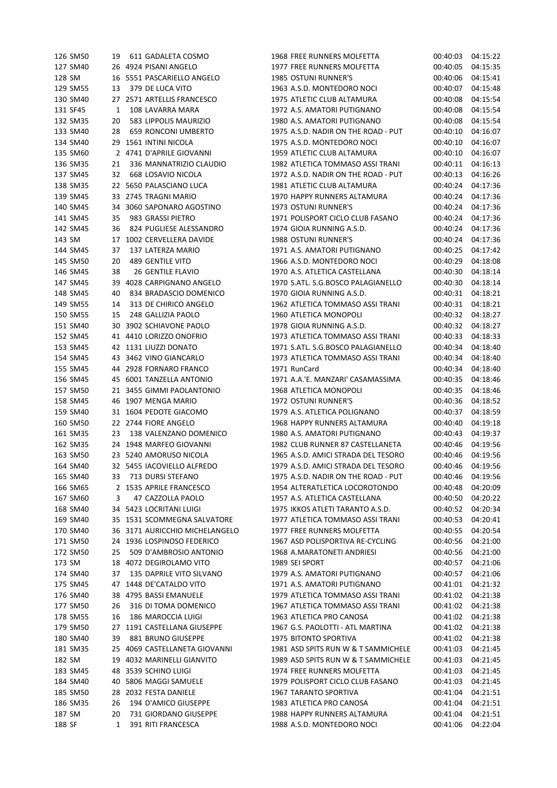| 126 SM50 | 19 | 611 GADALETA COSMO             | 1968 FREE RUNNERS MOLFETTA          | 00:40:03 | 04:15:22 |
|----------|----|--------------------------------|-------------------------------------|----------|----------|
| 127 SM40 |    | 26 4924 PISANI ANGELO          | 1977 FREE RUNNERS MOLFETTA          | 00:40:05 | 04:15:35 |
| 128 SM   | 16 | 5551 PASCARIELLO ANGELO        | 1985 OSTUNI RUNNER'S                | 00:40:06 | 04:15:41 |
| 129 SM55 | 13 | 379 DE LUCA VITO               | 1963 A.S.D. MONTEDORO NOCI          | 00:40:07 | 04:15:48 |
| 130 SM40 |    | 27 2571 ARTELLIS FRANCESCO     | 1975 ATLETIC CLUB ALTAMURA          | 00:40:08 | 04:15:54 |
| 131 SF45 | 1  | 108 LAVARRA MARA               | 1972 A.S. AMATORI PUTIGNANO         | 00:40:08 | 04:15:54 |
| 132 SM35 | 20 | 583 LIPPOLIS MAURIZIO          | 1980 A.S. AMATORI PUTIGNANO         | 00:40:08 | 04:15:54 |
| 133 SM40 | 28 | 659 RONCONI UMBERTO            | 1975 A.S.D. NADIR ON THE ROAD - PUT | 00:40:10 | 04:16:07 |
| 134 SM40 |    | 29 1561 INTINI NICOLA          | 1975 A.S.D. MONTEDORO NOCI          | 00:40:10 | 04:16:07 |
| 135 SM60 |    | 2 4741 D'APRILE GIOVANNI       | 1959 ATLETIC CLUB ALTAMURA          | 00:40:10 | 04:16:07 |
| 136 SM35 | 21 | 336 MANNATRIZIO CLAUDIO        | 1982 ATLETICA TOMMASO ASSI TRANI    | 00:40:11 | 04:16:13 |
| 137 SM45 | 32 | 668 LOSAVIO NICOLA             | 1972 A.S.D. NADIR ON THE ROAD - PUT | 00:40:13 | 04:16:26 |
| 138 SM35 |    | 22 5650 PALASCIANO LUCA        | 1981 ATLETIC CLUB ALTAMURA          | 00:40:24 | 04:17:36 |
|          |    |                                |                                     |          |          |
| 139 SM45 |    | 33 2745 TRAGNI MARIO           | 1970 HAPPY RUNNERS ALTAMURA         | 00:40:24 | 04:17:36 |
| 140 SM45 |    | 34 3060 SAPONARO AGOSTINO      | 1973 OSTUNI RUNNER'S                | 00:40:24 | 04:17:36 |
| 141 SM45 | 35 | 983 GRASSI PIETRO              | 1971 POLISPORT CICLO CLUB FASANO    | 00:40:24 | 04:17:36 |
| 142 SM45 | 36 | 824 PUGLIESE ALESSANDRO        | 1974 GIOIA RUNNING A.S.D.           | 00:40:24 | 04:17:36 |
| 143 SM   |    | 17 1002 CERVELLERA DAVIDE      | 1988 OSTUNI RUNNER'S                | 00:40:24 | 04:17:36 |
| 144 SM45 | 37 | 137 LATERZA MARIO              | 1971 A.S. AMATORI PUTIGNANO         | 00:40:25 | 04:17:42 |
| 145 SM50 | 20 | 489 GENTILE VITO               | 1966 A.S.D. MONTEDORO NOCI          | 00:40:29 | 04:18:08 |
| 146 SM45 | 38 | <b>26 GENTILE FLAVIO</b>       | 1970 A.S. ATLETICA CASTELLANA       | 00:40:30 | 04:18:14 |
| 147 SM45 |    | 39 4028 CARPIGNANO ANGELO      | 1970 S.ATL. S.G.BOSCO PALAGIANELLO  | 00:40:30 | 04:18:14 |
| 148 SM45 | 40 | 834 BRADASCIO DOMENICO         | 1970 GIOIA RUNNING A.S.D.           | 00:40:31 | 04:18:21 |
| 149 SM55 | 14 | 313 DE CHIRICO ANGELO          | 1962 ATLETICA TOMMASO ASSI TRANI    | 00:40:31 | 04:18:21 |
| 150 SM55 | 15 | 248 GALLIZIA PAOLO             | 1960 ATLETICA MONOPOLI              | 00:40:32 | 04:18:27 |
| 151 SM40 |    | 30 3902 SCHIAVONE PAOLO        | 1978 GIOIA RUNNING A.S.D.           | 00:40:32 | 04:18:27 |
| 152 SM45 |    | 41 4410 LORIZZO ONOFRIO        | 1973 ATLETICA TOMMASO ASSI TRANI    | 00:40:33 | 04:18:33 |
| 153 SM45 |    | 42 1131 LIUZZI DONATO          | 1971 S.ATL. S.G.BOSCO PALAGIANELLO  | 00:40:34 | 04:18:40 |
| 154 SM45 |    | 43 3462 VINO GIANCARLO         | 1973 ATLETICA TOMMASO ASSI TRANI    | 00:40:34 | 04:18:40 |
| 155 SM45 |    | 44 2928 FORNARO FRANCO         | 1971 RunCard                        | 00:40:34 | 04:18:40 |
| 156 SM45 | 45 | 6001 TANZELLA ANTONIO          | 1971 A.A.'E. MANZARI' CASAMASSIMA   | 00:40:35 | 04:18:46 |
| 157 SM50 |    | 21 3455 GIMMI PAOLANTONIO      | 1968 ATLETICA MONOPOLI              | 00:40:35 | 04:18:46 |
| 158 SM45 |    | 46 1907 MENGA MARIO            | 1972 OSTUNI RUNNER'S                | 00:40:36 | 04:18:52 |
| 159 SM40 |    | 31 1604 PEDOTE GIACOMO         | 1979 A.S. ATLETICA POLIGNANO        | 00:40:37 | 04:18:59 |
| 160 SM50 |    | 22 2744 FIORE ANGELO           | 1968 HAPPY RUNNERS ALTAMURA         |          |          |
|          |    |                                |                                     | 00:40:40 | 04:19:18 |
| 161 SM35 | 23 | 138 VALENZANO DOMENICO         | 1980 A.S. AMATORI PUTIGNANO         | 00:40:43 | 04:19:37 |
| 162 SM35 |    | 24 1948 MARFEO GIOVANNI        | 1982 CLUB RUNNER 87 CASTELLANETA    | 00:40:46 | 04:19:56 |
| 163 SM50 |    | 23 5240 AMORUSO NICOLA         | 1965 A.S.D. AMICI STRADA DEL TESORO | 00:40:46 | 04:19:56 |
| 164 SM40 |    | 32 5455 IACOVIELLO ALFREDO     | 1979 A.S.D. AMICI STRADA DEL TESORO | 00:40:46 | 04:19:56 |
| 165 SM40 | 33 | 713 DURSI STEFANO              | 1975 A.S.D. NADIR ON THE ROAD - PUT | 00:40:46 | 04:19:56 |
| 166 SM65 |    | 2 1535 APRILE FRANCESCO        | 1954 ALTERATLETICA LOCOROTONDO      | 00:40:48 | 04:20:09 |
| 167 SM60 | 3  | 47 CAZZOLLA PAOLO              | 1957 A.S. ATLETICA CASTELLANA       | 00:40:50 | 04:20:22 |
| 168 SM40 |    | 34 5423 LOCRITANI LUIGI        | 1975 IKKOS ATLETI TARANTO A.S.D.    | 00:40:52 | 04:20:34 |
| 169 SM40 |    | 35 1531 SCOMMEGNA SALVATORE    | 1977 ATLETICA TOMMASO ASSI TRANI    | 00:40:53 | 04:20:41 |
| 170 SM40 |    | 36 3171 AURICCHIO MICHELANGELO | 1977 FREE RUNNERS MOLFETTA          | 00:40:55 | 04:20:54 |
| 171 SM50 |    | 24 1936 LOSPINOSO FEDERICO     | 1967 ASD POLISPORTIVA RE-CYCLING    | 00:40:56 | 04:21:00 |
| 172 SM50 | 25 | 509 D'AMBROSIO ANTONIO         | 1968 A.MARATONETI ANDRIESI          | 00:40:56 | 04:21:00 |
| 173 SM   |    | 18 4072 DEGIROLAMO VITO        | 1989 SEI SPORT                      | 00:40:57 | 04:21:06 |
| 174 SM40 | 37 | 135 DAPRILE VITO SILVANO       | 1979 A.S. AMATORI PUTIGNANO         | 00:40:57 | 04:21:06 |
| 175 SM45 |    | 47 1448 DE'CATALDO VITO        | 1971 A.S. AMATORI PUTIGNANO         | 00:41:01 | 04:21:32 |
| 176 SM40 |    | 38 4795 BASSI EMANUELE         | 1979 ATLETICA TOMMASO ASSI TRANI    | 00:41:02 | 04:21:38 |
| 177 SM50 | 26 | 316 DI TOMA DOMENICO           | 1967 ATLETICA TOMMASO ASSI TRANI    | 00:41:02 | 04:21:38 |
| 178 SM55 | 16 | 186 MAROCCIA LUIGI             | 1963 ATLETICA PRO CANOSA            | 00:41:02 | 04:21:38 |
| 179 SM50 |    | 27 1191 CASTELLANA GIUSEPPE    | 1967 G.S. PAOLOTTI - ATL MARTINA    | 00:41:02 | 04:21:38 |
| 180 SM40 | 39 | 881 BRUNO GIUSEPPE             | 1975 BITONTO SPORTIVA               | 00:41:02 | 04:21:38 |
| 181 SM35 |    | 25 4069 CASTELLANETA GIOVANNI  | 1981 ASD SPITS RUN W & T SAMMICHELE | 00:41:03 | 04:21:45 |
| 182 SM   | 19 | 4032 MARINELLI GIANVITO        | 1989 ASD SPITS RUN W & T SAMMICHELE | 00:41:03 | 04:21:45 |
| 183 SM45 |    | 48 3539 SCHINO LUIGI           | 1974 FREE RUNNERS MOLFETTA          | 00:41:03 | 04:21:45 |
| 184 SM40 | 40 | 5806 MAGGI SAMUELE             | 1979 POLISPORT CICLO CLUB FASANO    | 00:41:03 | 04:21:45 |
| 185 SM50 |    | 28 2032 FESTA DANIELE          | 1967 TARANTO SPORTIVA               | 00:41:04 | 04:21:51 |
| 186 SM35 | 26 | 194 D'AMICO GIUSEPPE           | 1983 ATLETICA PRO CANOSA            | 00:41:04 | 04:21:51 |
| 187 SM   | 20 | 731 GIORDANO GIUSEPPE          | 1988 HAPPY RUNNERS ALTAMURA         | 00:41:04 | 04:21:51 |
| 188 SF   | 1  | 391 RITI FRANCESCA             | 1988 A.S.D. MONTEDORO NOCI          | 00:41:06 | 04:22:04 |
|          |    |                                |                                     |          |          |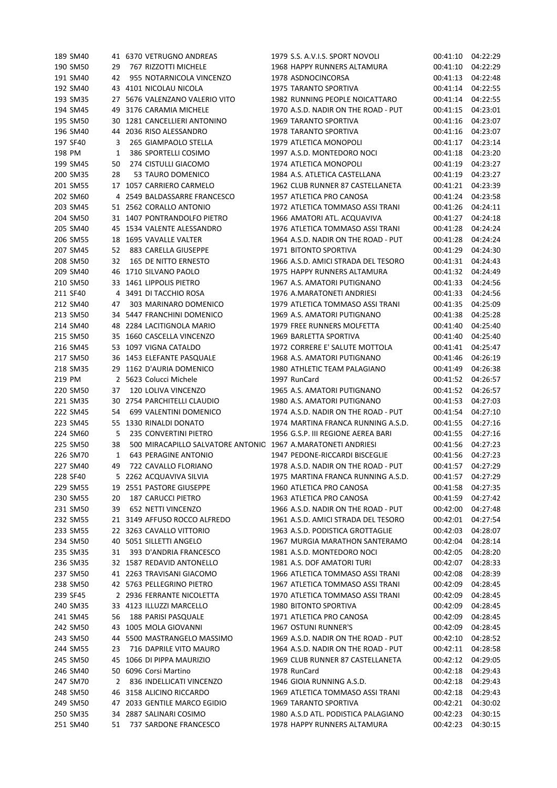|          | 189 SM40 |    | 41 6370 VETRUGNO ANDREAS                                     | 1979 S.S. A.V.I.S. SPORT NOVOLI     | 00:41:10 | 04:22:29 |
|----------|----------|----|--------------------------------------------------------------|-------------------------------------|----------|----------|
|          | 190 SM50 | 29 | 767 RIZZOTTI MICHELE                                         | 1968 HAPPY RUNNERS ALTAMURA         | 00:41:10 | 04:22:29 |
|          | 191 SM40 | 42 | 955 NOTARNICOLA VINCENZO                                     | 1978 ASDNOCINCORSA                  | 00:41:13 | 04:22:48 |
|          | 192 SM40 |    | 43 4101 NICOLAU NICOLA                                       | 1975 TARANTO SPORTIVA               | 00:41:14 | 04:22:55 |
|          | 193 SM35 |    | 27 5676 VALENZANO VALERIO VITO                               | 1982 RUNNING PEOPLE NOICATTARO      | 00:41:14 | 04:22:55 |
|          | 194 SM45 | 49 | 3176 CARAMIA MICHELE                                         | 1970 A.S.D. NADIR ON THE ROAD - PUT | 00:41:15 | 04:23:01 |
|          | 195 SM50 | 30 | 1281 CANCELLIERI ANTONINO                                    | 1969 TARANTO SPORTIVA               | 00:41:16 | 04:23:07 |
|          | 196 SM40 |    | 44 2036 RISO ALESSANDRO                                      | 1978 TARANTO SPORTIVA               | 00:41:16 | 04:23:07 |
|          | 197 SF40 | 3  | 265 GIAMPAOLO STELLA                                         | 1979 ATLETICA MONOPOLI              | 00:41:17 | 04:23:14 |
| 198 PM   |          | 1  | 386 SPORTELLI COSIMO                                         | 1997 A.S.D. MONTEDORO NOCI          | 00:41:18 | 04:23:20 |
|          | 199 SM45 | 50 | 274 CISTULLI GIACOMO                                         | 1974 ATLETICA MONOPOLI              | 00:41:19 | 04:23:27 |
|          | 200 SM35 | 28 | 53 TAURO DOMENICO                                            | 1984 A.S. ATLETICA CASTELLANA       | 00:41:19 | 04:23:27 |
|          | 201 SM55 |    | 17 1057 CARRIERO CARMELO                                     | 1962 CLUB RUNNER 87 CASTELLANETA    | 00:41:21 | 04:23:39 |
|          | 202 SM60 |    | 4 2549 BALDASSARRE FRANCESCO                                 | 1957 ATLETICA PRO CANOSA            | 00:41:24 | 04:23:58 |
|          |          |    |                                                              | 1972 ATLETICA TOMMASO ASSI TRANI    |          |          |
|          | 203 SM45 |    | 51 2562 CORALLO ANTONIO                                      |                                     | 00:41:26 | 04:24:11 |
|          | 204 SM50 |    | 31 1407 PONTRANDOLFO PIETRO                                  | 1966 AMATORI ATL. ACQUAVIVA         | 00:41:27 | 04:24:18 |
|          | 205 SM40 |    | 45 1534 VALENTE ALESSANDRO                                   | 1976 ATLETICA TOMMASO ASSI TRANI    | 00:41:28 | 04:24:24 |
|          | 206 SM55 |    | 18 1695 VAVALLE VALTER                                       | 1964 A.S.D. NADIR ON THE ROAD - PUT | 00:41:28 | 04:24:24 |
|          | 207 SM45 | 52 | 883 CARELLA GIUSEPPE                                         | 1971 BITONTO SPORTIVA               | 00:41:29 | 04:24:30 |
|          | 208 SM50 | 32 | 165 DE NITTO ERNESTO                                         | 1966 A.S.D. AMICI STRADA DEL TESORO | 00:41:31 | 04:24:43 |
|          | 209 SM40 |    | 46 1710 SILVANO PAOLO                                        | 1975 HAPPY RUNNERS ALTAMURA         | 00:41:32 | 04:24:49 |
|          | 210 SM50 |    | 33 1461 LIPPOLIS PIETRO                                      | 1967 A.S. AMATORI PUTIGNANO         | 00:41:33 | 04:24:56 |
|          | 211 SF40 |    | 4 3491 DI TACCHIO ROSA                                       | 1976 A.MARATONETI ANDRIESI          | 00:41:33 | 04:24:56 |
|          | 212 SM40 | 47 | 303 MARINARO DOMENICO                                        | 1979 ATLETICA TOMMASO ASSI TRANI    | 00:41:35 | 04:25:09 |
|          | 213 SM50 |    | 34 5447 FRANCHINI DOMENICO                                   | 1969 A.S. AMATORI PUTIGNANO         | 00:41:38 | 04:25:28 |
|          | 214 SM40 | 48 | 2284 LACITIGNOLA MARIO                                       | 1979 FREE RUNNERS MOLFETTA          | 00:41:40 | 04:25:40 |
|          | 215 SM50 |    | 35 1660 CASCELLA VINCENZO                                    | 1969 BARLETTA SPORTIVA              | 00:41:40 | 04:25:40 |
|          | 216 SM45 |    | 53 1097 VIGNA CATALDO                                        | 1972 CORRERE E' SALUTE MOTTOLA      | 00:41:41 | 04:25:47 |
|          | 217 SM50 |    | 36 1453 ELEFANTE PASQUALE                                    | 1968 A.S. AMATORI PUTIGNANO         | 00:41:46 | 04:26:19 |
|          | 218 SM35 |    | 29 1162 D'AURIA DOMENICO                                     | 1980 ATHLETIC TEAM PALAGIANO        | 00:41:49 | 04:26:38 |
| 219 PM   |          |    | 2 5623 Colucci Michele                                       | 1997 RunCard                        | 00:41:52 | 04:26:57 |
|          | 220 SM50 | 37 | 120 LOLIVA VINCENZO                                          | 1965 A.S. AMATORI PUTIGNANO         | 00:41:52 | 04:26:57 |
|          | 221 SM35 |    | 30 2754 PARCHITELLI CLAUDIO                                  | 1980 A.S. AMATORI PUTIGNANO         | 00:41:53 | 04:27:03 |
|          | 222 SM45 | 54 | 699 VALENTINI DOMENICO                                       | 1974 A.S.D. NADIR ON THE ROAD - PUT | 00:41:54 | 04:27:10 |
|          | 223 SM45 |    | 55 1330 RINALDI DONATO                                       | 1974 MARTINA FRANCA RUNNING A.S.D.  | 00:41:55 | 04:27:16 |
|          | 224 SM60 | 5  | 235 CONVERTINI PIETRO                                        | 1956 G.S.P. III REGIONE AEREA BARI  | 00:41:55 | 04:27:16 |
|          | 225 SM50 | 38 | 500 MIRACAPILLO SALVATORE ANTONIC 1967 A.MARATONETI ANDRIESI |                                     | 00:41:56 | 04:27:23 |
|          | 226 SM70 | 1  | <b>643 PERAGINE ANTONIO</b>                                  | 1947 PEDONE-RICCARDI BISCEGLIE      | 00:41:56 | 04:27:23 |
|          | 227 SM40 | 49 | 722 CAVALLO FLORIANO                                         | 1978 A.S.D. NADIR ON THE ROAD - PUT | 00:41:57 | 04:27:29 |
|          | 228 SF40 |    | 5 2262 ACQUAVIVA SILVIA                                      | 1975 MARTINA FRANCA RUNNING A.S.D.  | 00:41:57 | 04:27:29 |
|          | 229 SM55 |    | 19 2551 PASTORE GIUSEPPE                                     | 1960 ATLETICA PRO CANOSA            | 00:41:58 | 04:27:35 |
|          | 230 SM55 |    | <b>187 CARUCCI PIETRO</b>                                    | 1963 ATLETICA PRO CANOSA            | 00:41:59 | 04:27:42 |
|          |          | 20 |                                                              | 1966 A.S.D. NADIR ON THE ROAD - PUT |          |          |
|          | 231 SM50 | 39 | 652 NETTI VINCENZO                                           |                                     | 00:42:00 | 04:27:48 |
|          | 232 SM55 |    | 21 3149 AFFUSO ROCCO ALFREDO                                 | 1961 A.S.D. AMICI STRADA DEL TESORO | 00:42:01 | 04:27:54 |
|          | 233 SM55 |    | 22 3263 CAVALLO VITTORIO                                     | 1963 A.S.D. PODISTICA GROTTAGLIE    | 00:42:03 | 04:28:07 |
|          | 234 SM50 |    | 40 5051 SILLETTI ANGELO                                      | 1967 MURGIA MARATHON SANTERAMO      | 00:42:04 | 04:28:14 |
|          | 235 SM35 | 31 | 393 D'ANDRIA FRANCESCO                                       | 1981 A.S.D. MONTEDORO NOCI          | 00:42:05 | 04:28:20 |
|          | 236 SM35 |    | 32 1587 REDAVID ANTONELLO                                    | 1981 A.S. DOF AMATORI TURI          | 00:42:07 | 04:28:33 |
|          | 237 SM50 |    | 41 2263 TRAVISANI GIACOMO                                    | 1966 ATLETICA TOMMASO ASSI TRANI    | 00:42:08 | 04:28:39 |
|          | 238 SM50 |    | 42 5763 PELLEGRINO PIETRO                                    | 1967 ATLETICA TOMMASO ASSI TRANI    | 00:42:09 | 04:28:45 |
|          | 239 SF45 |    | 2 2936 FERRANTE NICOLETTA                                    | 1970 ATLETICA TOMMASO ASSI TRANI    | 00:42:09 | 04:28:45 |
|          | 240 SM35 |    | 33 4123 ILLUZZI MARCELLO                                     | 1980 BITONTO SPORTIVA               | 00:42:09 | 04:28:45 |
|          | 241 SM45 | 56 | 188 PARISI PASQUALE                                          | 1971 ATLETICA PRO CANOSA            | 00:42:09 | 04:28:45 |
|          | 242 SM50 |    | 43 1005 MOLA GIOVANNI                                        | 1967 OSTUNI RUNNER'S                | 00:42:09 | 04:28:45 |
| 243 SM50 |          |    | 44 5500 MASTRANGELO MASSIMO                                  | 1969 A.S.D. NADIR ON THE ROAD - PUT | 00:42:10 | 04:28:52 |
|          |          |    |                                                              | 1964 A.S.D. NADIR ON THE ROAD - PUT | 00:42:11 | 04:28:58 |
|          | 244 SM55 | 23 | 716 DAPRILE VITO MAURO                                       |                                     |          |          |
|          | 245 SM50 |    | 45 1066 DI PIPPA MAURIZIO                                    | 1969 CLUB RUNNER 87 CASTELLANETA    | 00:42:12 | 04:29:05 |
|          | 246 SM40 | 50 | 6096 Corsi Martino                                           | 1978 RunCard                        | 00:42:18 | 04:29:43 |
|          | 247 SM70 | 2  | 836 INDELLICATI VINCENZO                                     | 1946 GIOIA RUNNING A.S.D.           | 00:42:18 | 04:29:43 |
|          | 248 SM50 |    | 46 3158 ALICINO RICCARDO                                     | 1969 ATLETICA TOMMASO ASSI TRANI    | 00:42:18 | 04:29:43 |
|          | 249 SM50 | 47 | 2033 GENTILE MARCO EGIDIO                                    | 1969 TARANTO SPORTIVA               | 00:42:21 | 04:30:02 |
|          | 250 SM35 |    | 34 2887 SALINARI COSIMO                                      | 1980 A.S.D ATL. PODISTICA PALAGIANO | 00:42:23 | 04:30:15 |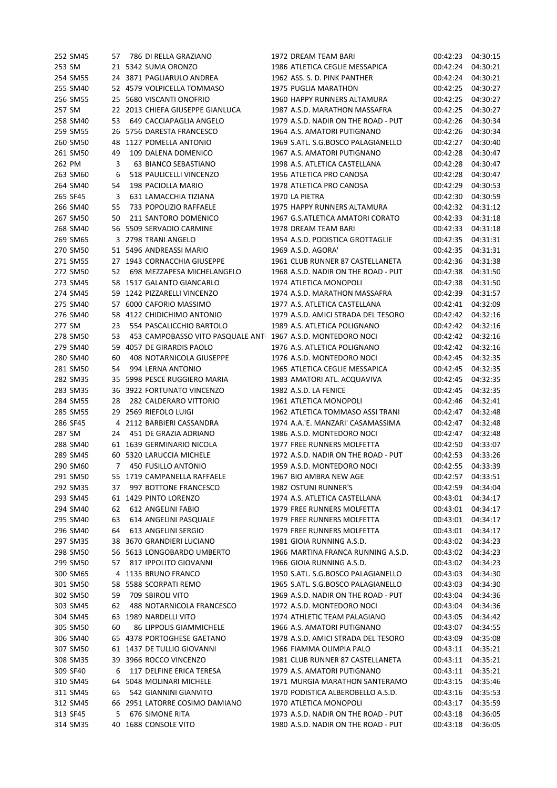|        | 252 SM45 | 57 | 786 DI RELLA GRAZIANO                                       | 1972 DREAM TEAM BARI                | 00:42:23 | 04:30:15 |
|--------|----------|----|-------------------------------------------------------------|-------------------------------------|----------|----------|
| 253 SM |          |    | 21 5342 SUMA ORONZO                                         | 1986 ATLETICA CEGLIE MESSAPICA      | 00:42:24 | 04:30:21 |
|        | 254 SM55 |    | 24 3871 PAGLIARULO ANDREA                                   | 1962 ASS. S. D. PINK PANTHER        | 00:42:24 | 04:30:21 |
|        | 255 SM40 |    | 52 4579 VOLPICELLA TOMMASO                                  | 1975 PUGLIA MARATHON                | 00:42:25 | 04:30:27 |
|        | 256 SM55 |    | 25 5680 VISCANTI ONOFRIO                                    | 1960 HAPPY RUNNERS ALTAMURA         | 00:42:25 | 04:30:27 |
| 257 SM |          |    | 22 2013 CHIEFA GIUSEPPE GIANLUCA                            | 1987 A.S.D. MARATHON MASSAFRA       | 00:42:25 | 04:30:27 |
|        | 258 SM40 | 53 | 649 CACCIAPAGLIA ANGELO                                     | 1979 A.S.D. NADIR ON THE ROAD - PUT | 00:42:26 | 04:30:34 |
|        | 259 SM55 | 26 | 5756 DARESTA FRANCESCO                                      | 1964 A.S. AMATORI PUTIGNANO         | 00:42:26 | 04:30:34 |
|        | 260 SM50 | 48 | 1127 POMELLA ANTONIO                                        | 1969 S.ATL. S.G.BOSCO PALAGIANELLO  | 00:42:27 | 04:30:40 |
|        | 261 SM50 | 49 | 109 DALENA DOMENICO                                         | 1967 A.S. AMATORI PUTIGNANO         | 00:42:28 | 04:30:47 |
|        | 262 PM   | 3  | 63 BIANCO SEBASTIANO                                        | 1998 A.S. ATLETICA CASTELLANA       | 00:42:28 | 04:30:47 |
|        | 263 SM60 | 6  | 518 PAULICELLI VINCENZO                                     | 1956 ATLETICA PRO CANOSA            | 00:42:28 | 04:30:47 |
|        | 264 SM40 | 54 | 198 PACIOLLA MARIO                                          | 1978 ATLETICA PRO CANOSA            | 00:42:29 | 04:30:53 |
|        | 265 SF45 | 3  | 631 LAMACCHIA TIZIANA                                       | 1970 LA PIETRA                      | 00:42:30 | 04:30:59 |
|        |          |    |                                                             | 1975 HAPPY RUNNERS ALTAMURA         |          |          |
|        | 266 SM40 | 55 | 733 POPOLIZIO RAFFAELE                                      |                                     | 00:42:32 | 04:31:12 |
|        | 267 SM50 | 50 | 211 SANTORO DOMENICO                                        | 1967 G.S.ATLETICA AMATORI CORATO    | 00:42:33 | 04:31:18 |
|        | 268 SM40 |    | 56 5509 SERVADIO CARMINE                                    | 1978 DREAM TEAM BARI                | 00:42:33 | 04:31:18 |
|        | 269 SM65 |    | 3 2798 TRANI ANGELO                                         | 1954 A.S.D. PODISTICA GROTTAGLIE    | 00:42:35 | 04:31:31 |
|        | 270 SM50 |    | 51 5496 ANDREASSI MARIO                                     | 1969 A.S.D. AGORA'                  | 00:42:35 | 04:31:31 |
|        | 271 SM55 |    | 27 1943 CORNACCHIA GIUSEPPE                                 | 1961 CLUB RUNNER 87 CASTELLANETA    | 00:42:36 | 04:31:38 |
|        | 272 SM50 | 52 | 698 MEZZAPESA MICHELANGELO                                  | 1968 A.S.D. NADIR ON THE ROAD - PUT | 00:42:38 | 04:31:50 |
|        | 273 SM45 |    | 58 1517 GALANTO GIANCARLO                                   | 1974 ATLETICA MONOPOLI              | 00:42:38 | 04:31:50 |
|        | 274 SM45 |    | 59 1242 PIZZARELLI VINCENZO                                 | 1974 A.S.D. MARATHON MASSAFRA       | 00:42:39 | 04:31:57 |
|        | 275 SM40 |    | 57 6000 CAFORIO MASSIMO                                     | 1977 A.S. ATLETICA CASTELLANA       | 00:42:41 | 04:32:09 |
|        | 276 SM40 | 58 | 4122 CHIDICHIMO ANTONIO                                     | 1979 A.S.D. AMICI STRADA DEL TESORO | 00:42:42 | 04:32:16 |
| 277 SM |          | 23 | 554 PASCALICCHIO BARTOLO                                    | 1989 A.S. ATLETICA POLIGNANO        | 00:42:42 | 04:32:16 |
|        | 278 SM50 | 53 | 453 CAMPOBASSO VITO PASQUALE ANT 1967 A.S.D. MONTEDORO NOCI |                                     | 00:42:42 | 04:32:16 |
|        | 279 SM40 | 59 | 4057 DE GIRARDIS PAOLO                                      | 1976 A.S. ATLETICA POLIGNANO        | 00:42:42 | 04:32:16 |
|        | 280 SM40 | 60 | 408 NOTARNICOLA GIUSEPPE                                    | 1976 A.S.D. MONTEDORO NOCI          | 00:42:45 | 04:32:35 |
|        | 281 SM50 | 54 | 994 LERNA ANTONIO                                           | 1965 ATLETICA CEGLIE MESSAPICA      | 00:42:45 | 04:32:35 |
|        | 282 SM35 | 35 | 5998 PESCE RUGGIERO MARIA                                   | 1983 AMATORI ATL. ACQUAVIVA         | 00:42:45 | 04:32:35 |
|        | 283 SM35 | 36 | 3922 FORTUNATO VINCENZO                                     | 1982 A.S.D. LA FENICE               | 00:42:45 | 04:32:35 |
|        | 284 SM55 | 28 | 282 CALDERARO VITTORIO                                      | 1961 ATLETICA MONOPOLI              | 00:42:46 | 04:32:41 |
|        | 285 SM55 | 29 | 2569 RIEFOLO LUIGI                                          | 1962 ATLETICA TOMMASO ASSI TRANI    | 00:42:47 | 04:32:48 |
|        | 286 SF45 |    | 4 2112 BARBIERI CASSANDRA                                   | 1974 A.A.'E. MANZARI' CASAMASSIMA   | 00:42:47 | 04:32:48 |
| 287 SM |          | 24 | 451 DE GRAZIA ADRIANO                                       | 1986 A.S.D. MONTEDORO NOCI          | 00:42:47 | 04:32:48 |
|        | 288 SM40 |    | 61 1639 GERMINARIO NICOLA                                   | 1977 FREE RUNNERS MOLFETTA          | 00:42:50 | 04:33:07 |
|        | 289 SM45 |    | 60 5320 LARUCCIA MICHELE                                    | 1972 A.S.D. NADIR ON THE ROAD - PUT | 00:42:53 | 04:33:26 |
|        | 290 SM60 | 7  | 450 FUSILLO ANTONIO                                         | 1959 A.S.D. MONTEDORO NOCI          | 00:42:55 | 04:33:39 |
|        | 291 SM50 |    | 55 1719 CAMPANELLA RAFFAELE                                 | 1967 BIO AMBRA NEW AGE              | 00:42:57 | 04:33:51 |
|        | 292 SM35 | 37 | 997 BOTTONE FRANCESCO                                       | 1982 OSTUNI RUNNER'S                | 00:42:59 | 04:34:04 |
|        | 293 SM45 |    | 61 1429 PINTO LORENZO                                       | 1974 A.S. ATLETICA CASTELLANA       | 00:43:01 | 04:34:17 |
|        | 294 SM40 |    | 612 ANGELINI FABIO                                          | 1979 FREE RUNNERS MOLFETTA          |          |          |
|        |          | 62 |                                                             |                                     | 00:43:01 | 04:34:17 |
|        | 295 SM40 | 63 | 614 ANGELINI PASQUALE                                       | 1979 FREE RUNNERS MOLFETTA          | 00:43:01 | 04:34:17 |
|        | 296 SM40 | 64 | 613 ANGELINI SERGIO                                         | 1979 FREE RUNNERS MOLFETTA          | 00:43:01 | 04:34:17 |
|        | 297 SM35 |    | 38 3670 GRANDIERI LUCIANO                                   | 1981 GIOIA RUNNING A.S.D.           | 00:43:02 | 04:34:23 |
|        | 298 SM50 |    | 56 5613 LONGOBARDO UMBERTO                                  | 1966 MARTINA FRANCA RUNNING A.S.D.  | 00:43:02 | 04:34:23 |
|        | 299 SM50 | 57 | 817 IPPOLITO GIOVANNI                                       | 1966 GIOIA RUNNING A.S.D.           | 00:43:02 | 04:34:23 |
|        | 300 SM65 |    | 4 1135 BRUNO FRANCO                                         | 1950 S.ATL. S.G.BOSCO PALAGIANELLO  | 00:43:03 | 04:34:30 |
|        | 301 SM50 |    | 58 5588 SCORPATI REMO                                       | 1965 S.ATL. S.G.BOSCO PALAGIANELLO  | 00:43:03 | 04:34:30 |
|        | 302 SM50 | 59 | 709 SBIROLI VITO                                            | 1969 A.S.D. NADIR ON THE ROAD - PUT | 00:43:04 | 04:34:36 |
|        | 303 SM45 | 62 | 488 NOTARNICOLA FRANCESCO                                   | 1972 A.S.D. MONTEDORO NOCI          | 00:43:04 | 04:34:36 |
|        | 304 SM45 |    | 63 1989 NARDELLI VITO                                       | 1974 ATHLETIC TEAM PALAGIANO        | 00:43:05 | 04:34:42 |
|        | 305 SM50 | 60 | <b>86 LIPPOLIS GIAMMICHELE</b>                              | 1966 A.S. AMATORI PUTIGNANO         | 00:43:07 | 04:34:55 |
|        | 306 SM40 |    | 65 4378 PORTOGHESE GAETANO                                  | 1978 A.S.D. AMICI STRADA DEL TESORO | 00:43:09 | 04:35:08 |
|        | 307 SM50 |    | 61 1437 DE TULLIO GIOVANNI                                  | 1966 FIAMMA OLIMPIA PALO            | 00:43:11 | 04:35:21 |
|        | 308 SM35 | 39 | 3966 ROCCO VINCENZO                                         | 1981 CLUB RUNNER 87 CASTELLANETA    | 00:43:11 | 04:35:21 |
|        | 309 SF40 | 6  | 117 DELFINE ERICA TERESA                                    | 1979 A.S. AMATORI PUTIGNANO         | 00:43:11 | 04:35:21 |
|        | 310 SM45 |    | 64 5048 MOLINARI MICHELE                                    | 1971 MURGIA MARATHON SANTERAMO      | 00:43:15 | 04:35:46 |
|        | 311 SM45 | 65 | 542 GIANNINI GIANVITO                                       | 1970 PODISTICA ALBEROBELLO A.S.D.   | 00:43:16 | 04:35:53 |
|        | 312 SM45 |    | 66 2951 LATORRE COSIMO DAMIANO                              | 1970 ATLETICA MONOPOLI              | 00:43:17 | 04:35:59 |
|        | 313 SF45 | 5  | <b>676 SIMONE RITA</b>                                      | 1973 A.S.D. NADIR ON THE ROAD - PUT | 00:43:18 | 04:36:05 |
|        | 314 SM35 |    | 40 1688 CONSOLE VITO                                        | 1980 A.S.D. NADIR ON THE ROAD - PUT | 00:43:18 | 04:36:05 |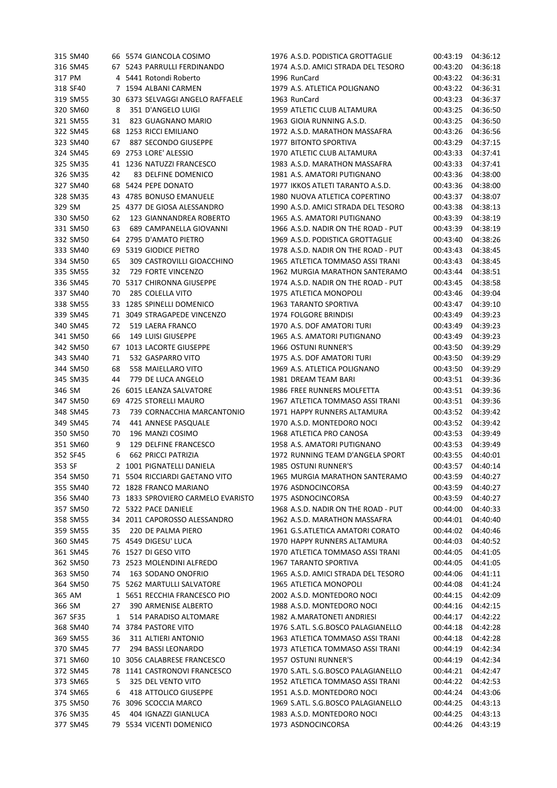| 315 SM40             |    | 66 5574 GIANCOLA COSIMO                   | 1976 A.S.D. PODISTICA GROTTAGLIE    | 00:43:19 | 04:36:12 |
|----------------------|----|-------------------------------------------|-------------------------------------|----------|----------|
| 316 SM45             |    | 67 5243 PARRULLI FERDINANDO               | 1974 A.S.D. AMICI STRADA DEL TESORO | 00:43:20 | 04:36:18 |
| 317 PM               |    | 4 5441 Rotondi Roberto                    | 1996 RunCard                        | 00:43:22 | 04:36:31 |
| 318 SF40             |    | 7 1594 ALBANI CARMEN                      | 1979 A.S. ATLETICA POLIGNANO        | 00:43:22 | 04:36:31 |
| 319 SM55             |    | 30 6373 SELVAGGI ANGELO RAFFAELE          | 1963 RunCard                        | 00:43:23 | 04:36:37 |
| 320 SM60             | 8  | 351 D'ANGELO LUIGI                        | 1959 ATLETIC CLUB ALTAMURA          | 00:43:25 | 04:36:50 |
| 321 SM55             | 31 | 823 GUAGNANO MARIO                        | 1963 GIOIA RUNNING A.S.D.           | 00:43:25 | 04:36:50 |
| 322 SM45             |    | 68 1253 RICCI EMILIANO                    | 1972 A.S.D. MARATHON MASSAFRA       | 00:43:26 | 04:36:56 |
| 323 SM40             | 67 | 887 SECONDO GIUSEPPE                      | 1977 BITONTO SPORTIVA               | 00:43:29 | 04:37:15 |
| 324 SM45             | 69 | 2753 LORE' ALESSIO                        | 1970 ATLETIC CLUB ALTAMURA          | 00:43:33 | 04:37:41 |
| 325 SM35             |    | 41 1236 NATUZZI FRANCESCO                 | 1983 A.S.D. MARATHON MASSAFRA       | 00:43:33 | 04:37:41 |
| 326 SM35             | 42 | 83 DELFINE DOMENICO                       | 1981 A.S. AMATORI PUTIGNANO         | 00:43:36 | 04:38:00 |
| 327 SM40             |    | 68 5424 PEPE DONATO                       | 1977 IKKOS ATLETI TARANTO A.S.D.    | 00:43:36 | 04:38:00 |
| 328 SM35             |    | 43 4785 BONUSO EMANUELE                   | 1980 NUOVA ATLETICA COPERTINO       | 00:43:37 | 04:38:07 |
| 329 SM               |    | 25 4377 DE GIOSA ALESSANDRO               | 1990 A.S.D. AMICI STRADA DEL TESORO | 00:43:38 | 04:38:13 |
| 330 SM50             | 62 | 123 GIANNANDREA ROBERTO                   | 1965 A.S. AMATORI PUTIGNANO         | 00:43:39 | 04:38:19 |
| 331 SM50             | 63 | 689 CAMPANELLA GIOVANNI                   | 1966 A.S.D. NADIR ON THE ROAD - PUT | 00:43:39 | 04:38:19 |
| 332 SM50             |    | 64 2795 D'AMATO PIETRO                    | 1969 A.S.D. PODISTICA GROTTAGLIE    | 00:43:40 | 04:38:26 |
| 333 SM40             |    | 69 5319 GIODICE PIETRO                    | 1978 A.S.D. NADIR ON THE ROAD - PUT | 00:43:43 | 04:38:45 |
| 334 SM50             | 65 | 309 CASTROVILLI GIOACCHINO                | 1965 ATLETICA TOMMASO ASSI TRANI    | 00:43:43 | 04:38:45 |
| 335 SM55             | 32 | <b>729 FORTE VINCENZO</b>                 | 1962 MURGIA MARATHON SANTERAMO      | 00:43:44 | 04:38:51 |
| 336 SM45             |    | 70 5317 CHIRONNA GIUSEPPE                 | 1974 A.S.D. NADIR ON THE ROAD - PUT | 00:43:45 | 04:38:58 |
| 337 SM40             | 70 | 285 COLELLA VITO                          | 1975 ATLETICA MONOPOLI              | 00:43:46 | 04:39:04 |
| 338 SM55             |    | 33 1285 SPINELLI DOMENICO                 | 1963 TARANTO SPORTIVA               | 00:43:47 | 04:39:10 |
| 339 SM45             |    | 71 3049 STRAGAPEDE VINCENZO               | 1974 FOLGORE BRINDISI               | 00:43:49 | 04:39:23 |
| 340 SM45             | 72 | 519 LAERA FRANCO                          | 1970 A.S. DOF AMATORI TURI          | 00:43:49 | 04:39:23 |
| 341 SM50             | 66 | 149 LUISI GIUSEPPE                        | 1965 A.S. AMATORI PUTIGNANO         | 00:43:49 | 04:39:23 |
| 342 SM50             |    | 67 1013 LACORTE GIUSEPPE                  | 1966 OSTUNI RUNNER'S                | 00:43:50 | 04:39:29 |
| 343 SM40             | 71 | 532 GASPARRO VITO                         | 1975 A.S. DOF AMATORI TURI          | 00:43:50 | 04:39:29 |
| 344 SM50             | 68 | 558 MAIELLARO VITO                        | 1969 A.S. ATLETICA POLIGNANO        | 00:43:50 | 04:39:29 |
| 345 SM35             | 44 | 779 DE LUCA ANGELO                        | 1981 DREAM TEAM BARI                | 00:43:51 | 04:39:36 |
| 346 SM               | 26 | 6015 LEANZA SALVATORE                     | 1986 FREE RUNNERS MOLFETTA          | 00:43:51 | 04:39:36 |
| 347 SM50             |    | 69 4725 STORELLI MAURO                    | 1967 ATLETICA TOMMASO ASSI TRANI    | 00:43:51 | 04:39:36 |
| 348 SM45             | 73 | 739 CORNACCHIA MARCANTONIO                | 1971 HAPPY RUNNERS ALTAMURA         | 00:43:52 | 04:39:42 |
|                      | 74 |                                           |                                     |          |          |
| 349 SM45             |    | 441 ANNESE PASQUALE                       | 1970 A.S.D. MONTEDORO NOCI          | 00:43:52 | 04:39:42 |
| 350 SM50<br>351 SM60 | 70 | 196 MANZI COSIMO<br>129 DELFINE FRANCESCO | 1968 ATLETICA PRO CANOSA            | 00:43:53 | 04:39:49 |
| 352 SF45             | 9  |                                           | 1958 A.S. AMATORI PUTIGNANO         | 00:43:53 | 04:39:49 |
|                      | 6  | 662 PRICCI PATRIZIA                       | 1972 RUNNING TEAM D'ANGELA SPORT    | 00:43:55 | 04:40:01 |
| 353 SF               |    | 2 1001 PIGNATELLI DANIELA                 | 1985 OSTUNI RUNNER'S                | 00:43:57 | 04:40:14 |
| 354 SM50             |    | 71 5504 RICCIARDI GAETANO VITO            | 1965 MURGIA MARATHON SANTERAMO      | 00:43:59 | 04:40:27 |
| 355 SM40             |    | 72 1828 FRANCO MARIANO                    | 1976 ASDNOCINCORSA                  | 00:43:59 | 04:40:27 |
| 356 SM40             |    | 73 1833 SPROVIERO CARMELO EVARISTO        | 1975 ASDNOCINCORSA                  | 00:43:59 | 04:40:27 |
| 357 SM50             |    | 72 5322 PACE DANIELE                      | 1968 A.S.D. NADIR ON THE ROAD - PUT | 00:44:00 | 04:40:33 |
| 358 SM55             |    | 34 2011 CAPOROSSO ALESSANDRO              | 1962 A.S.D. MARATHON MASSAFRA       | 00:44:01 | 04:40:40 |
| 359 SM55             | 35 | 220 DE PALMA PIERO                        | 1961 G.S.ATLETICA AMATORI CORATO    | 00:44:02 | 04:40:46 |
| 360 SM45             |    | 75 4549 DIGESU' LUCA                      | 1970 HAPPY RUNNERS ALTAMURA         | 00:44:03 | 04:40:52 |
| 361 SM45             |    | 76 1527 DI GESO VITO                      | 1970 ATLETICA TOMMASO ASSI TRANI    | 00:44:05 | 04:41:05 |
| 362 SM50             |    | 73 2523 MOLENDINI ALFREDO                 | 1967 TARANTO SPORTIVA               | 00:44:05 | 04:41:05 |
| 363 SM50             | 74 | 163 SODANO ONOFRIO                        | 1965 A.S.D. AMICI STRADA DEL TESORO | 00:44:06 | 04:41:11 |
| 364 SM50             |    | 75 5262 MARTULLI SALVATORE                | 1965 ATLETICA MONOPOLI              | 00:44:08 | 04:41:24 |
| 365 AM               |    | 1 5651 RECCHIA FRANCESCO PIO              | 2002 A.S.D. MONTEDORO NOCI          | 00:44:15 | 04:42:09 |
| 366 SM               | 27 | 390 ARMENISE ALBERTO                      | 1988 A.S.D. MONTEDORO NOCI          | 00:44:16 | 04:42:15 |
| 367 SF35             | 1  | 514 PARADISO ALTOMARE                     | 1982 A.MARATONETI ANDRIESI          | 00:44:17 | 04:42:22 |
| 368 SM40             |    | 74 3784 PASTORE VITO                      | 1976 S.ATL. S.G.BOSCO PALAGIANELLO  | 00:44:18 | 04:42:28 |
| 369 SM55             | 36 | 311 ALTIERI ANTONIO                       | 1963 ATLETICA TOMMASO ASSI TRANI    | 00:44:18 | 04:42:28 |
| 370 SM45             | 77 | 294 BASSI LEONARDO                        | 1973 ATLETICA TOMMASO ASSI TRANI    | 00:44:19 | 04:42:34 |
| 371 SM60             |    | 10 3056 CALABRESE FRANCESCO               | 1957 OSTUNI RUNNER'S                | 00:44:19 | 04:42:34 |
| 372 SM45             |    | 78 1141 CASTRONOVI FRANCESCO              | 1970 S.ATL. S.G.BOSCO PALAGIANELLO  | 00:44:21 | 04:42:47 |
| 373 SM65             | 5  | 325 DEL VENTO VITO                        | 1952 ATLETICA TOMMASO ASSI TRANI    | 00:44:22 | 04:42:53 |
| 374 SM65             | 6  | 418 ATTOLICO GIUSEPPE                     | 1951 A.S.D. MONTEDORO NOCI          | 00:44:24 | 04:43:06 |
| 375 SM50             |    | 76 3096 SCOCCIA MARCO                     | 1969 S.ATL. S.G.BOSCO PALAGIANELLO  | 00:44:25 | 04:43:13 |
| 376 SM35             | 45 | 404 IGNAZZI GIANLUCA                      | 1983 A.S.D. MONTEDORO NOCI          | 00:44:25 | 04:43:13 |
| 377 SM45             |    | 79 5534 VICENTI DOMENICO                  | 1973 ASDNOCINCORSA                  | 00:44:26 | 04:43:19 |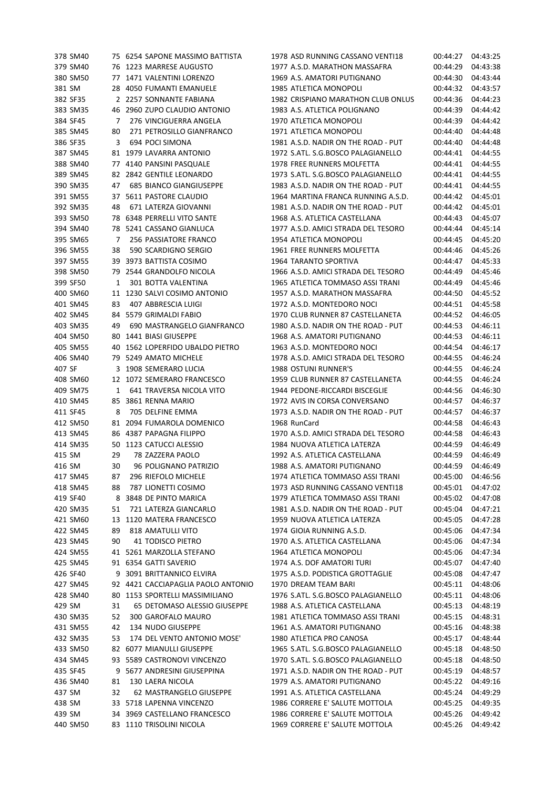| 378 SM40 |    | 75 6254 SAPONE MASSIMO BATTISTA    | 1978 ASD RUNNING CASSANO VENTI18    | 00:44:27 | 04:43:25 |
|----------|----|------------------------------------|-------------------------------------|----------|----------|
| 379 SM40 |    | 76 1223 MARRESE AUGUSTO            | 1977 A.S.D. MARATHON MASSAFRA       | 00:44:29 | 04:43:38 |
| 380 SM50 |    | 77 1471 VALENTINI LORENZO          | 1969 A.S. AMATORI PUTIGNANO         | 00:44:30 | 04:43:44 |
| 381 SM   |    | 28 4050 FUMANTI EMANUELE           | 1985 ATLETICA MONOPOLI              | 00:44:32 | 04:43:57 |
| 382 SF35 |    | 2 2257 SONNANTE FABIANA            | 1982 CRISPIANO MARATHON CLUB ONLUS  | 00:44:36 | 04:44:23 |
| 383 SM35 |    | 46 2960 ZUPO CLAUDIO ANTONIO       | 1983 A.S. ATLETICA POLIGNANO        | 00:44:39 | 04:44:42 |
| 384 SF45 | 7  | 276 VINCIGUERRA ANGELA             | 1970 ATLETICA MONOPOLI              | 00:44:39 | 04:44:42 |
| 385 SM45 | 80 | 271 PETROSILLO GIANFRANCO          | 1971 ATLETICA MONOPOLI              | 00:44:40 | 04:44:48 |
| 386 SF35 | 3  | 694 POCI SIMONA                    | 1981 A.S.D. NADIR ON THE ROAD - PUT | 00:44:40 | 04:44:48 |
| 387 SM45 |    | 81 1979 LAVARRA ANTONIO            | 1972 S.ATL. S.G.BOSCO PALAGIANELLO  | 00:44:41 | 04:44:55 |
| 388 SM40 |    | 77 4140 PANSINI PASQUALE           | 1978 FREE RUNNERS MOLFETTA          | 00:44:41 | 04:44:55 |
| 389 SM45 |    | 82 2842 GENTILE LEONARDO           | 1973 S.ATL. S.G.BOSCO PALAGIANELLO  | 00:44:41 | 04:44:55 |
| 390 SM35 | 47 | <b>685 BIANCO GIANGIUSEPPE</b>     | 1983 A.S.D. NADIR ON THE ROAD - PUT | 00:44:41 | 04:44:55 |
| 391 SM55 |    | 37 5611 PASTORE CLAUDIO            | 1964 MARTINA FRANCA RUNNING A.S.D.  | 00:44:42 | 04:45:01 |
| 392 SM35 |    |                                    |                                     |          |          |
|          | 48 | 671 LATERZA GIOVANNI               | 1981 A.S.D. NADIR ON THE ROAD - PUT | 00:44:42 | 04:45:01 |
| 393 SM50 |    | 78 6348 PERRELLI VITO SANTE        | 1968 A.S. ATLETICA CASTELLANA       | 00:44:43 | 04:45:07 |
| 394 SM40 |    | 78 5241 CASSANO GIANLUCA           | 1977 A.S.D. AMICI STRADA DEL TESORO | 00:44:44 | 04:45:14 |
| 395 SM65 | 7  | 256 PASSIATORE FRANCO              | 1954 ATLETICA MONOPOLI              | 00:44:45 | 04:45:20 |
| 396 SM55 | 38 | 590 SCARDIGNO SERGIO               | 1961 FREE RUNNERS MOLFETTA          | 00:44:46 | 04:45:26 |
| 397 SM55 |    | 39 3973 BATTISTA COSIMO            | <b>1964 TARANTO SPORTIVA</b>        | 00:44:47 | 04:45:33 |
| 398 SM50 |    | 79 2544 GRANDOLFO NICOLA           | 1966 A.S.D. AMICI STRADA DEL TESORO | 00:44:49 | 04:45:46 |
| 399 SF50 | 1  | 301 BOTTA VALENTINA                | 1965 ATLETICA TOMMASO ASSI TRANI    | 00:44:49 | 04:45:46 |
| 400 SM60 |    | 11 1230 SALVI COSIMO ANTONIO       | 1957 A.S.D. MARATHON MASSAFRA       | 00:44:50 | 04:45:52 |
| 401 SM45 | 83 | 407 ABBRESCIA LUIGI                | 1972 A.S.D. MONTEDORO NOCI          | 00:44:51 | 04:45:58 |
| 402 SM45 |    | 84 5579 GRIMALDI FABIO             | 1970 CLUB RUNNER 87 CASTELLANETA    | 00:44:52 | 04:46:05 |
| 403 SM35 | 49 | 690 MASTRANGELO GIANFRANCO         | 1980 A.S.D. NADIR ON THE ROAD - PUT | 00:44:53 | 04:46:11 |
| 404 SM50 | 80 | 1441 BIASI GIUSEPPE                | 1968 A.S. AMATORI PUTIGNANO         | 00:44:53 | 04:46:11 |
| 405 SM55 | 40 | 1562 LOPERFIDO UBALDO PIETRO       | 1963 A.S.D. MONTEDORO NOCI          | 00:44:54 | 04:46:17 |
| 406 SM40 |    | 79 5249 AMATO MICHELE              | 1978 A.S.D. AMICI STRADA DEL TESORO | 00:44:55 | 04:46:24 |
| 407 SF   |    | 3 1908 SEMERARO LUCIA              | <b>1988 OSTUNI RUNNER'S</b>         | 00:44:55 | 04:46:24 |
| 408 SM60 |    | 12 1072 SEMERARO FRANCESCO         | 1959 CLUB RUNNER 87 CASTELLANETA    | 00:44:55 | 04:46:24 |
| 409 SM75 | 1  | 641 TRAVERSA NICOLA VITO           | 1944 PEDONE-RICCARDI BISCEGLIE      | 00:44:56 | 04:46:30 |
| 410 SM45 |    | 85 3861 RENNA MARIO                | 1972 AVIS IN CORSA CONVERSANO       | 00:44:57 | 04:46:37 |
| 411 SF45 | 8  | 705 DELFINE EMMA                   | 1973 A.S.D. NADIR ON THE ROAD - PUT | 00:44:57 | 04:46:37 |
| 412 SM50 |    | 81 2094 FUMAROLA DOMENICO          | 1968 RunCard                        | 00:44:58 | 04:46:43 |
| 413 SM45 |    | 86 4387 PAPAGNA FILIPPO            | 1970 A.S.D. AMICI STRADA DEL TESORO | 00:44:58 | 04:46:43 |
| 414 SM35 |    | 50 1123 CATUCCI ALESSIO            | 1984 NUOVA ATLETICA LATERZA         | 00:44:59 | 04:46:49 |
| 415 SM   | 29 | 78 ZAZZERA PAOLO                   | 1992 A.S. ATLETICA CASTELLANA       | 00:44:59 | 04:46:49 |
| 416 SM   | 30 | 96 POLIGNANO PATRIZIO              | 1988 A.S. AMATORI PUTIGNANO         | 00:44:59 | 04:46:49 |
| 417 SM45 |    | 296 RIEFOLO MICHELE                | 1974 ATLETICA TOMMASO ASSI TRANI    | 00:45:00 | 04:46:56 |
|          | 87 |                                    |                                     |          |          |
| 418 SM45 | 88 | 787 LIONETTI COSIMO                | 1973 ASD RUNNING CASSANO VENTI18    | 00:45:01 | 04:47:02 |
| 419 SF40 | 8  | 3848 DE PINTO MARICA               | 1979 ATLETICA TOMMASO ASSI TRANI    | 00:45:02 | 04:47:08 |
| 420 SM35 | 51 | 721 LATERZA GIANCARLO              | 1981 A.S.D. NADIR ON THE ROAD - PUT | 00:45:04 | 04:47:21 |
| 421 SM60 |    | 13 1120 MATERA FRANCESCO           | 1959 NUOVA ATLETICA LATERZA         | 00:45:05 | 04:47:28 |
| 422 SM45 | 89 | 818 AMATULLI VITO                  | 1974 GIOIA RUNNING A.S.D.           | 00:45:06 | 04:47:34 |
| 423 SM45 | 90 | 41 TODISCO PIETRO                  | 1970 A.S. ATLETICA CASTELLANA       | 00:45:06 | 04:47:34 |
| 424 SM55 |    | 41 5261 MARZOLLA STEFANO           | 1964 ATLETICA MONOPOLI              | 00:45:06 | 04:47:34 |
| 425 SM45 |    | 91 6354 GATTI SAVERIO              | 1974 A.S. DOF AMATORI TURI          | 00:45:07 | 04:47:40 |
| 426 SF40 |    | 9 3091 BRITTANNICO ELVIRA          | 1975 A.S.D. PODISTICA GROTTAGLIE    | 00:45:08 | 04:47:47 |
| 427 SM45 |    | 92 4421 CACCIAPAGLIA PAOLO ANTONIO | 1970 DREAM TEAM BARI                | 00:45:11 | 04:48:06 |
| 428 SM40 |    | 80 1153 SPORTELLI MASSIMILIANO     | 1976 S.ATL. S.G.BOSCO PALAGIANELLO  | 00:45:11 | 04:48:06 |
| 429 SM   | 31 | 65 DETOMASO ALESSIO GIUSEPPE       | 1988 A.S. ATLETICA CASTELLANA       | 00:45:13 | 04:48:19 |
| 430 SM35 | 52 | 300 GAROFALO MAURO                 | 1981 ATLETICA TOMMASO ASSI TRANI    | 00:45:15 | 04:48:31 |
| 431 SM55 | 42 | 134 NUDO GIUSEPPE                  | 1961 A.S. AMATORI PUTIGNANO         | 00:45:16 | 04:48:38 |
| 432 SM35 | 53 | 174 DEL VENTO ANTONIO MOSE'        | 1980 ATLETICA PRO CANOSA            | 00:45:17 | 04:48:44 |
| 433 SM50 |    | 82 6077 MIANULLI GIUSEPPE          | 1965 S.ATL. S.G.BOSCO PALAGIANELLO  | 00:45:18 | 04:48:50 |
| 434 SM45 |    | 93 5589 CASTRONOVI VINCENZO        | 1970 S.ATL. S.G.BOSCO PALAGIANELLO  | 00:45:18 | 04:48:50 |
| 435 SF45 | 9  | 5677 ANDRESINI GIUSEPPINA          | 1971 A.S.D. NADIR ON THE ROAD - PUT | 00:45:19 | 04:48:57 |
| 436 SM40 | 81 | 130 LAERA NICOLA                   | 1979 A.S. AMATORI PUTIGNANO         | 00:45:22 | 04:49:16 |
| 437 SM   | 32 | 62 MASTRANGELO GIUSEPPE            | 1991 A.S. ATLETICA CASTELLANA       | 00:45:24 | 04:49:29 |
| 438 SM   |    | 33 5718 LAPENNA VINCENZO           | 1986 CORRERE E' SALUTE MOTTOLA      | 00:45:25 | 04:49:35 |
| 439 SM   |    | 34 3969 CASTELLANO FRANCESCO       | 1986 CORRERE E' SALUTE MOTTOLA      | 00:45:26 | 04:49:42 |
| 440 SM50 |    | 83 1110 TRISOLINI NICOLA           | 1969 CORRERE E' SALUTE MOTTOLA      | 00:45:26 | 04:49:42 |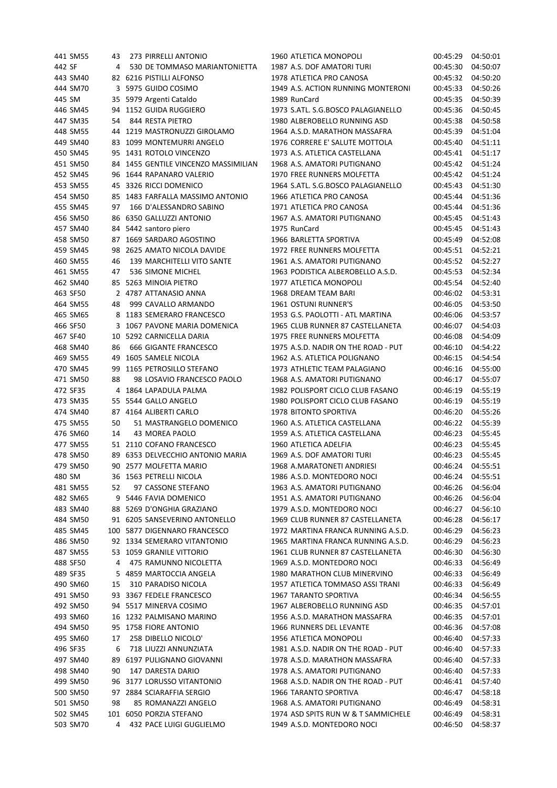|        | 441 SM55 | 43 | 273 PIRRELLI ANTONIO                 | 1960 ATLETICA MONOPOLI              | 00:45:29 | 04:50:01 |
|--------|----------|----|--------------------------------------|-------------------------------------|----------|----------|
| 442 SF |          | 4  | 530 DE TOMMASO MARIANTONIETTA        | 1987 A.S. DOF AMATORI TURI          | 00:45:30 | 04:50:07 |
|        | 443 SM40 |    | 82 6216 PISTILLI ALFONSO             | 1978 ATLETICA PRO CANOSA            | 00:45:32 | 04:50:20 |
|        | 444 SM70 |    | 3 5975 GUIDO COSIMO                  | 1949 A.S. ACTION RUNNING MONTERONI  | 00:45:33 | 04:50:26 |
| 445 SM |          |    | 35 5979 Argenti Cataldo              | 1989 RunCard                        | 00:45:35 | 04:50:39 |
|        | 446 SM45 |    | 94 1152 GUIDA RUGGIERO               | 1973 S.ATL, S.G.BOSCO PALAGIANELLO  | 00:45:36 | 04:50:45 |
|        | 447 SM35 | 54 | 844 RESTA PIETRO                     | 1980 ALBEROBELLO RUNNING ASD        | 00:45:38 | 04:50:58 |
|        | 448 SM55 |    | 44 1219 MASTRONUZZI GIROLAMO         | 1964 A.S.D. MARATHON MASSAFRA       | 00:45:39 | 04:51:04 |
|        | 449 SM40 | 83 | 1099 MONTEMURRI ANGELO               | 1976 CORRERE E' SALUTE MOTTOLA      | 00:45:40 | 04:51:11 |
|        | 450 SM45 | 95 | 1431 ROTOLO VINCENZO                 | 1973 A.S. ATLETICA CASTELLANA       | 00:45:41 | 04:51:17 |
|        | 451 SM50 |    |                                      | 1968 A.S. AMATORI PUTIGNANO         |          |          |
|        |          |    | 84 1455 GENTILE VINCENZO MASSIMILIAN |                                     | 00:45:42 | 04:51:24 |
|        | 452 SM45 |    | 96 1644 RAPANARO VALERIO             | 1970 FREE RUNNERS MOLFETTA          | 00:45:42 | 04:51:24 |
|        | 453 SM55 |    | 45 3326 RICCI DOMENICO               | 1964 S.ATL. S.G.BOSCO PALAGIANELLO  | 00:45:43 | 04:51:30 |
|        | 454 SM50 |    | 85 1483 FARFALLA MASSIMO ANTONIO     | 1966 ATLETICA PRO CANOSA            | 00:45:44 | 04:51:36 |
|        | 455 SM45 | 97 | 166 D'ALESSANDRO SABINO              | 1971 ATLETICA PRO CANOSA            | 00:45:44 | 04:51:36 |
|        | 456 SM50 |    | 86 6350 GALLUZZI ANTONIO             | 1967 A.S. AMATORI PUTIGNANO         | 00:45:45 | 04:51:43 |
|        | 457 SM40 |    | 84 5442 santoro piero                | 1975 RunCard                        | 00:45:45 | 04:51:43 |
|        | 458 SM50 |    | 87 1669 SARDARO AGOSTINO             | 1966 BARLETTA SPORTIVA              | 00:45:49 | 04:52:08 |
|        | 459 SM45 |    | 98 2625 AMATO NICOLA DAVIDE          | 1972 FREE RUNNERS MOLFETTA          | 00:45:51 | 04:52:21 |
|        | 460 SM55 | 46 | 139 MARCHITELLI VITO SANTE           | 1961 A.S. AMATORI PUTIGNANO         | 00:45:52 | 04:52:27 |
|        | 461 SM55 | 47 | 536 SIMONE MICHEL                    | 1963 PODISTICA ALBEROBELLO A.S.D.   | 00:45:53 | 04:52:34 |
|        | 462 SM40 |    | 85 5263 MINOIA PIETRO                | 1977 ATLETICA MONOPOLI              | 00:45:54 | 04:52:40 |
|        | 463 SF50 |    | 2 4787 ATTANASIO ANNA                | 1968 DREAM TEAM BARI                | 00:46:02 | 04:53:31 |
|        | 464 SM55 | 48 | 999 CAVALLO ARMANDO                  | 1961 OSTUNI RUNNER'S                | 00:46:05 | 04:53:50 |
|        | 465 SM65 |    | 8 1183 SEMERARO FRANCESCO            | 1953 G.S. PAOLOTTI - ATL MARTINA    | 00:46:06 | 04:53:57 |
|        | 466 SF50 | 3  | 1067 PAVONE MARIA DOMENICA           | 1965 CLUB RUNNER 87 CASTELLANETA    | 00:46:07 | 04:54:03 |
|        | 467 SF40 |    |                                      |                                     |          | 04:54:09 |
|        |          | 10 | 5292 CARNICELLA DARIA                | 1975 FREE RUNNERS MOLFETTA          | 00:46:08 |          |
|        | 468 SM40 | 86 | 666 GIGANTE FRANCESCO                | 1975 A.S.D. NADIR ON THE ROAD - PUT | 00:46:10 | 04:54:22 |
|        | 469 SM55 | 49 | 1605 SAMELE NICOLA                   | 1962 A.S. ATLETICA POLIGNANO        | 00:46:15 | 04:54:54 |
|        | 470 SM45 | 99 | 1165 PETROSILLO STEFANO              | 1973 ATHLETIC TEAM PALAGIANO        | 00:46:16 | 04:55:00 |
|        | 471 SM50 | 88 | 98 LOSAVIO FRANCESCO PAOLO           | 1968 A.S. AMATORI PUTIGNANO         | 00:46:17 | 04:55:07 |
|        | 472 SF35 |    | 4 1864 LAPADULA PALMA                | 1982 POLISPORT CICLO CLUB FASANO    | 00:46:19 | 04:55:19 |
|        | 473 SM35 |    | 55 5544 GALLO ANGELO                 | 1980 POLISPORT CICLO CLUB FASANO    | 00:46:19 | 04:55:19 |
|        | 474 SM40 |    | 87 4164 ALIBERTI CARLO               | 1978 BITONTO SPORTIVA               | 00:46:20 | 04:55:26 |
|        | 475 SM55 | 50 | 51 MASTRANGELO DOMENICO              | 1960 A.S. ATLETICA CASTELLANA       | 00:46:22 | 04:55:39 |
|        | 476 SM60 | 14 | 43 MOREA PAOLO                       | 1959 A.S. ATLETICA CASTELLANA       | 00:46:23 | 04:55:45 |
|        | 477 SM55 |    | 51 2110 COFANO FRANCESCO             | 1960 ATLETICA ADELFIA               | 00:46:23 | 04:55:45 |
|        | 478 SM50 |    | 89 6353 DELVECCHIO ANTONIO MARIA     | 1969 A.S. DOF AMATORI TURI          | 00:46:23 | 04:55:45 |
|        | 479 SM50 |    | 90 2577 MOLFETTA MARIO               | 1968 A.MARATONETI ANDRIESI          | 00:46:24 | 04:55:51 |
|        | 480 SM   |    | 36 1563 PETRELLI NICOLA              | 1986 A.S.D. MONTEDORO NOCI          | 00:46:24 | 04:55:51 |
|        | 481 SM55 | 52 | 97 CASSONE STEFANO                   | 1963 A.S. AMATORI PUTIGNANO         | 00:46:26 | 04:56:04 |
|        | 482 SM65 | 9  | 5446 FAVIA DOMENICO                  | 1951 A.S. AMATORI PUTIGNANO         | 00:46:26 | 04:56:04 |
|        | 483 SM40 |    | 88 5269 D'ONGHIA GRAZIANO            | 1979 A.S.D. MONTEDORO NOCI          | 00:46:27 | 04:56:10 |
|        | 484 SM50 |    | 91 6205 SANSEVERINO ANTONELLO        | 1969 CLUB RUNNER 87 CASTELLANETA    | 00:46:28 | 04:56:17 |
|        | 485 SM45 |    | 100 5877 DIGENNARO FRANCESCO         | 1972 MARTINA FRANCA RUNNING A.S.D.  | 00:46:29 | 04:56:23 |
|        |          |    |                                      | 1965 MARTINA FRANCA RUNNING A.S.D.  |          |          |
|        | 486 SM50 |    | 92 1334 SEMERARO VITANTONIO          |                                     | 00:46:29 | 04:56:23 |
|        | 487 SM55 |    | 53 1059 GRANILE VITTORIO             | 1961 CLUB RUNNER 87 CASTELLANETA    | 00:46:30 | 04:56:30 |
|        | 488 SF50 | 4  | 475 RAMUNNO NICOLETTA                | 1969 A.S.D. MONTEDORO NOCI          | 00:46:33 | 04:56:49 |
|        | 489 SF35 | 5. | 4859 MARTOCCIA ANGELA                | 1980 MARATHON CLUB MINERVINO        | 00:46:33 | 04:56:49 |
|        | 490 SM60 | 15 | 310 PARADISO NICOLA                  | 1957 ATLETICA TOMMASO ASSI TRANI    | 00:46:33 | 04:56:49 |
|        | 491 SM50 |    | 93 3367 FEDELE FRANCESCO             | 1967 TARANTO SPORTIVA               | 00:46:34 | 04:56:55 |
|        | 492 SM50 |    | 94 5517 MINERVA COSIMO               | 1967 ALBEROBELLO RUNNING ASD        | 00:46:35 | 04:57:01 |
|        | 493 SM60 |    | 16 1232 PALMISANO MARINO             | 1956 A.S.D. MARATHON MASSAFRA       | 00:46:35 | 04:57:01 |
|        | 494 SM50 |    | 95 1758 FIORE ANTONIO                | 1966 RUNNERS DEL LEVANTE            | 00:46:36 | 04:57:08 |
|        | 495 SM60 | 17 | 258 DIBELLO NICOLO'                  | 1956 ATLETICA MONOPOLI              | 00:46:40 | 04:57:33 |
|        | 496 SF35 | 6  | 718 LIUZZI ANNUNZIATA                | 1981 A.S.D. NADIR ON THE ROAD - PUT | 00:46:40 | 04:57:33 |
|        | 497 SM40 | 89 | 6197 PULIGNANO GIOVANNI              | 1978 A.S.D. MARATHON MASSAFRA       | 00:46:40 | 04:57:33 |
|        | 498 SM40 | 90 | 147 DARESTA DARIO                    | 1978 A.S. AMATORI PUTIGNANO         | 00:46:40 | 04:57:33 |
|        | 499 SM50 |    | 96 3177 LORUSSO VITANTONIO           | 1968 A.S.D. NADIR ON THE ROAD - PUT | 00:46:41 | 04:57:40 |
|        | 500 SM50 |    | 97 2884 SCIARAFFIA SERGIO            | 1966 TARANTO SPORTIVA               | 00:46:47 | 04:58:18 |
|        | 501 SM50 | 98 | 85 ROMANAZZI ANGELO                  | 1968 A.S. AMATORI PUTIGNANO         | 00:46:49 | 04:58:31 |
|        | 502 SM45 |    | 101 6050 PORZIA STEFANO              | 1974 ASD SPITS RUN W & T SAMMICHELE | 00:46:49 | 04:58:31 |
|        | 503 SM70 | 4  | 432 PACE LUIGI GUGLIELMO             | 1949 A.S.D. MONTEDORO NOCI          | 00:46:50 | 04:58:37 |
|        |          |    |                                      |                                     |          |          |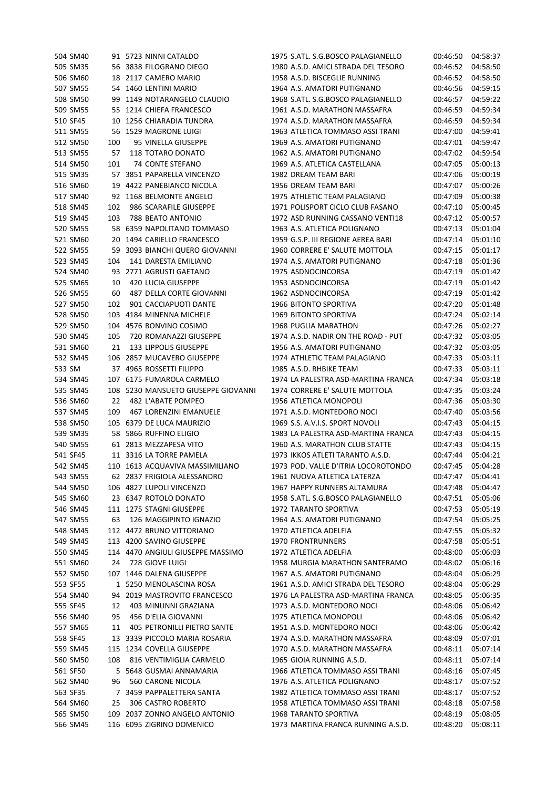|        | 504 SM40 |     | 91 5723 NINNI CATALDO             | 1975 S.ATL. S.G.BOSCO PALAGIANELLO  | 00:46:50 | 04:58:37 |
|--------|----------|-----|-----------------------------------|-------------------------------------|----------|----------|
|        | 505 SM35 |     | 56 3838 FILOGRANO DIEGO           | 1980 A.S.D. AMICI STRADA DEL TESORO | 00:46:52 | 04:58:50 |
|        | 506 SM60 |     | 18 2117 CAMERO MARIO              | 1958 A.S.D. BISCEGLIE RUNNING       | 00:46:52 | 04:58:50 |
|        | 507 SM55 |     | 54 1460 LENTINI MARIO             | 1964 A.S. AMATORI PUTIGNANO         | 00:46:56 | 04:59:15 |
|        | 508 SM50 | 99  | 1149 NOTARANGELO CLAUDIO          | 1968 S.ATL. S.G.BOSCO PALAGIANELLO  | 00:46:57 | 04:59:22 |
|        | 509 SM55 |     | 55 1214 CHIEFA FRANCESCO          | 1961 A.S.D. MARATHON MASSAFRA       | 00:46:59 | 04:59:34 |
|        | 510 SF45 | 10  | 1256 CHIARADIA TUNDRA             | 1974 A.S.D. MARATHON MASSAFRA       | 00:46:59 | 04:59:34 |
|        | 511 SM55 | 56  | 1529 MAGRONE LUIGI                | 1963 ATLETICA TOMMASO ASSI TRANI    | 00:47:00 | 04:59:41 |
|        | 512 SM50 | 100 | 95 VINELLA GIUSEPPE               | 1969 A.S. AMATORI PUTIGNANO         | 00:47:01 | 04:59:47 |
|        | 513 SM55 | 57  | 118 TOTARO DONATO                 | 1962 A.S. AMATORI PUTIGNANO         | 00:47:02 | 04:59:54 |
|        | 514 SM50 | 101 | 74 CONTE STEFANO                  | 1969 A.S. ATLETICA CASTELLANA       | 00:47:05 | 05:00:13 |
|        | 515 SM35 |     | 57 3851 PAPARELLA VINCENZO        | 1982 DREAM TEAM BARI                | 00:47:06 | 05:00:19 |
|        | 516 SM60 | 19  | 4422 PANEBIANCO NICOLA            | 1956 DREAM TEAM BARI                | 00:47:07 | 05:00:26 |
|        |          |     |                                   |                                     |          |          |
|        | 517 SM40 |     | 92 1168 BELMONTE ANGELO           | 1975 ATHLETIC TEAM PALAGIANO        | 00:47:09 | 05:00:38 |
|        | 518 SM45 | 102 | 986 SCARAFILE GIUSEPPE            | 1971 POLISPORT CICLO CLUB FASANO    | 00:47:10 | 05:00:45 |
|        | 519 SM45 | 103 | 788 BEATO ANTONIO                 | 1972 ASD RUNNING CASSANO VENTI18    | 00:47:12 | 05:00:57 |
|        | 520 SM55 |     | 58 6359 NAPOLITANO TOMMASO        | 1963 A.S. ATLETICA POLIGNANO        | 00:47:13 | 05:01:04 |
|        | 521 SM60 |     | 20 1494 CARIELLO FRANCESCO        | 1959 G.S.P. III REGIONE AEREA BARI  | 00:47:14 | 05:01:10 |
|        | 522 SM55 | 59  | 3093 BIANCHI QUERO GIOVANNI       | 1960 CORRERE E' SALUTE MOTTOLA      | 00:47:15 | 05:01:17 |
|        | 523 SM45 | 104 | 141 DARESTA EMILIANO              | 1974 A.S. AMATORI PUTIGNANO         | 00:47:18 | 05:01:36 |
|        | 524 SM40 |     | 93 2771 AGRUSTI GAETANO           | 1975 ASDNOCINCORSA                  | 00:47:19 | 05:01:42 |
|        | 525 SM65 | 10  | <b>420 LUCIA GIUSEPPE</b>         | 1953 ASDNOCINCORSA                  | 00:47:19 | 05:01:42 |
|        | 526 SM55 | 60  | 487 DELLA CORTE GIOVANNI          | 1962 ASDNOCINCORSA                  | 00:47:19 | 05:01:42 |
|        | 527 SM50 | 102 | 901 CACCIAPUOTI DANTE             | 1966 BITONTO SPORTIVA               | 00:47:20 | 05:01:48 |
|        | 528 SM50 |     | 103 4184 MINENNA MICHELE          | 1969 BITONTO SPORTIVA               | 00:47:24 | 05:02:14 |
|        | 529 SM50 |     | 104 4576 BONVINO COSIMO           | 1968 PUGLIA MARATHON                | 00:47:26 | 05:02:27 |
|        | 530 SM45 | 105 | 720 ROMANAZZI GIUSEPPE            | 1974 A.S.D. NADIR ON THE ROAD - PUT | 00:47:32 | 05:03:05 |
|        | 531 SM60 | 21  | 133 LIPPOLIS GIUSEPPE             | 1956 A.S. AMATORI PUTIGNANO         | 00:47:32 | 05:03:05 |
|        | 532 SM45 |     | 106 2857 MUCAVERO GIUSEPPE        | 1974 ATHLETIC TEAM PALAGIANO        | 00:47:33 | 05:03:11 |
| 533 SM |          |     | 37 4965 ROSSETTI FILIPPO          | 1985 A.S.D. RHBIKE TEAM             | 00:47:33 | 05:03:11 |
|        | 534 SM45 |     | 107 6175 FUMAROLA CARMELO         | 1974 LA PALESTRA ASD-MARTINA FRANCA | 00:47:34 | 05:03:18 |
|        | 535 SM45 | 108 | 5230 MANSUETO GIUSEPPE GIOVANNI   | 1974 CORRERE E' SALUTE MOTTOLA      | 00:47:35 | 05:03:24 |
|        | 536 SM60 | 22  | 482 L'ABATE POMPEO                | 1956 ATLETICA MONOPOLI              | 00:47:36 | 05:03:30 |
|        | 537 SM45 | 109 | 467 LORENZINI EMANUELE            | 1971 A.S.D. MONTEDORO NOCI          | 00:47:40 | 05:03:56 |
|        | 538 SM50 |     |                                   | 1969 S.S. A.V.I.S. SPORT NOVOLI     |          |          |
|        |          |     | 105 6379 DE LUCA MAURIZIO         | 1983 LA PALESTRA ASD-MARTINA FRANCA | 00:47:43 | 05:04:15 |
|        | 539 SM35 |     | 58 5866 RUFFINO ELIGIO            |                                     | 00:47:43 | 05:04:15 |
|        | 540 SM55 |     | 61 2813 MEZZAPESA VITO            | 1960 A.S. MARATHON CLUB STATTE      | 00:47:43 | 05:04:15 |
|        | 541 SF45 |     | 11 3316 LA TORRE PAMELA           | 1973 IKKOS ATLETI TARANTO A.S.D.    | 00:47:44 | 05:04:21 |
|        | 542 SM45 |     | 110 1613 ACQUAVIVA MASSIMILIANO   | 1973 POD. VALLE D'ITRIA LOCOROTONDO | 00:47:45 | 05:04:28 |
|        | 543 SM55 |     | 62 2837 FRIGIOLA ALESSANDRO       | 1961 NUOVA ATLETICA LATERZA         | 00:47:47 | 05:04:41 |
|        | 544 SM50 |     | 106 4827 LUPOLI VINCENZO          | 1967 HAPPY RUNNERS ALTAMURA         | 00:47:48 | 05:04:47 |
|        | 545 SM60 |     | 23 6347 ROTOLO DONATO             | 1958 S.ATL. S.G.BOSCO PALAGIANELLO  | 00:47:51 | 05:05:06 |
|        | 546 SM45 |     | 111 1275 STAGNI GIUSEPPE          | 1972 TARANTO SPORTIVA               | 00:47:53 | 05:05:19 |
|        | 547 SM55 | 63  | 126 MAGGIPINTO IGNAZIO            | 1964 A.S. AMATORI PUTIGNANO         | 00:47:54 | 05:05:25 |
|        | 548 SM45 |     | 112 4472 BRUNO VITTORIANO         | 1970 ATLETICA ADELFIA               | 00:47:55 | 05:05:32 |
|        | 549 SM45 |     | 113 4200 SAVINO GIUSEPPE          | <b>1970 FRONTRUNNERS</b>            | 00:47:58 | 05:05:51 |
|        | 550 SM45 |     | 114 4470 ANGIULI GIUSEPPE MASSIMO | 1972 ATLETICA ADELFIA               | 00:48:00 | 05:06:03 |
|        | 551 SM60 | 24  | 728 GIOVE LUIGI                   | 1958 MURGIA MARATHON SANTERAMO      | 00:48:02 | 05:06:16 |
|        | 552 SM50 |     | 107 1446 DALENA GIUSEPPE          | 1967 A.S. AMATORI PUTIGNANO         | 00:48:04 | 05:06:29 |
|        | 553 SF55 |     | 1 5250 MENOLASCINA ROSA           | 1961 A.S.D. AMICI STRADA DEL TESORO | 00:48:04 | 05:06:29 |
|        | 554 SM40 |     | 94 2019 MASTROVITO FRANCESCO      | 1976 LA PALESTRA ASD-MARTINA FRANCA | 00:48:05 | 05:06:35 |
|        | 555 SF45 | 12  | 403 MINUNNI GRAZIANA              | 1973 A.S.D. MONTEDORO NOCI          | 00:48:06 | 05:06:42 |
|        | 556 SM40 | 95  | 456 D'ELIA GIOVANNI               | 1975 ATLETICA MONOPOLI              | 00:48:06 | 05:06:42 |
|        | 557 SM65 | 11  | 405 PETRONILLI PIETRO SANTE       | 1951 A.S.D. MONTEDORO NOCI          | 00:48:06 | 05:06:42 |
|        | 558 SF45 |     | 13 3339 PICCOLO MARIA ROSARIA     | 1974 A.S.D. MARATHON MASSAFRA       | 00:48:09 | 05:07:01 |
|        | 559 SM45 |     | 115 1234 COVELLA GIUSEPPE         | 1970 A.S.D. MARATHON MASSAFRA       | 00:48:11 | 05:07:14 |
|        | 560 SM50 | 108 | 816 VENTIMIGLIA CARMELO           | 1965 GIOIA RUNNING A.S.D.           | 00:48:11 | 05:07:14 |
|        | 561 SF50 |     | 5 5648 GUSMAI ANNAMARIA           | 1966 ATLETICA TOMMASO ASSI TRANI    | 00:48:16 | 05:07:45 |
|        | 562 SM40 | 96  | 560 CARONE NICOLA                 | 1976 A.S. ATLETICA POLIGNANO        | 00:48:17 | 05:07:52 |
|        | 563 SF35 |     | 7 3459 PAPPALETTERA SANTA         | 1982 ATLETICA TOMMASO ASSI TRANI    | 00:48:17 | 05:07:52 |
|        | 564 SM60 | 25  | 306 CASTRO ROBERTO                | 1958 ATLETICA TOMMASO ASSI TRANI    | 00:48:18 | 05:07:58 |
|        | 565 SM50 | 109 | 2037 ZONNO ANGELO ANTONIO         | 1968 TARANTO SPORTIVA               | 00:48:19 | 05:08:05 |
|        | 566 SM45 |     |                                   |                                     |          |          |
|        |          |     | 116 6095 ZIGRINO DOMENICO         | 1973 MARTINA FRANCA RUNNING A.S.D.  | 00:48:20 | 05:08:11 |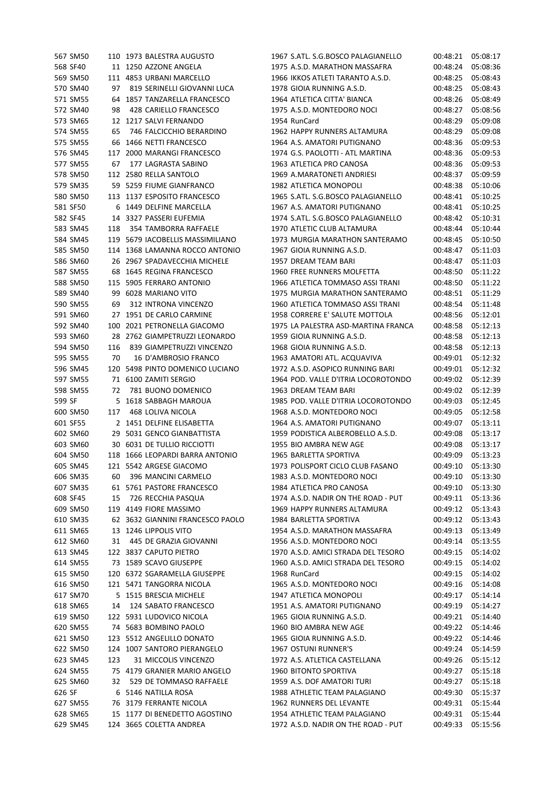|        | 567 SM50             |     | 110 1973 BALESTRA AUGUSTO        | 1967 S.ATL. S.G.BOSCO PALAGIANELLO  | 00:48:21 | 05:08:17 |
|--------|----------------------|-----|----------------------------------|-------------------------------------|----------|----------|
|        | 568 SF40             |     | 11 1250 AZZONE ANGELA            | 1975 A.S.D. MARATHON MASSAFRA       | 00:48:24 | 05:08:36 |
|        | 569 SM50             |     | 111 4853 URBANI MARCELLO         | 1966 IKKOS ATLETI TARANTO A.S.D.    | 00:48:25 | 05:08:43 |
|        | 570 SM40             | 97  | 819 SERINELLI GIOVANNI LUCA      | 1978 GIOIA RUNNING A.S.D.           | 00:48:25 | 05:08:43 |
|        | 571 SM55             | 64  | 1857 TANZARELLA FRANCESCO        | 1964 ATLETICA CITTA' BIANCA         | 00:48:26 | 05:08:49 |
|        | 572 SM40             | 98  | 428 CARIELLO FRANCESCO           | 1975 A.S.D. MONTEDORO NOCI          | 00:48:27 | 05:08:56 |
|        | 573 SM65             |     | 12 1217 SALVI FERNANDO           | 1954 RunCard                        | 00:48:29 | 05:09:08 |
|        | 574 SM55             | 65  | 746 FALCICCHIO BERARDINO         | 1962 HAPPY RUNNERS ALTAMURA         | 00:48:29 | 05:09:08 |
|        | 575 SM55             | 66  | 1466 NETTI FRANCESCO             | 1964 A.S. AMATORI PUTIGNANO         | 00:48:36 | 05:09:53 |
|        | 576 SM45             | 117 | 2000 MARANGI FRANCESCO           | 1974 G.S. PAOLOTTI - ATL MARTINA    | 00:48:36 | 05:09:53 |
|        | 577 SM55             | 67  | 177 LAGRASTA SABINO              | 1963 ATLETICA PRO CANOSA            | 00:48:36 | 05:09:53 |
|        | 578 SM50             |     | 112 2580 RELLA SANTOLO           | 1969 A.MARATONETI ANDRIESI          | 00:48:37 | 05:09:59 |
|        | 579 SM35             |     | 59 5259 FIUME GIANFRANCO         | 1982 ATLETICA MONOPOLI              | 00:48:38 | 05:10:06 |
|        | 580 SM50             |     | 113 1137 ESPOSITO FRANCESCO      | 1965 S.ATL. S.G.BOSCO PALAGIANELLO  | 00:48:41 | 05:10:25 |
|        | 581 SF50             |     | 6 1449 DELFINE MARCELLA          | 1967 A.S. AMATORI PUTIGNANO         | 00:48:41 | 05:10:25 |
|        | 582 SF45             |     | 14 3327 PASSERI EUFEMIA          | 1974 S.ATL. S.G.BOSCO PALAGIANELLO  | 00:48:42 | 05:10:31 |
|        | 583 SM45             | 118 | 354 TAMBORRA RAFFAELE            | 1970 ATLETIC CLUB ALTAMURA          | 00:48:44 | 05:10:44 |
|        | 584 SM45             |     | 119 5679 IACOBELLIS MASSIMILIANO | 1973 MURGIA MARATHON SANTERAMO      | 00:48:45 | 05:10:50 |
|        | 585 SM50             |     | 114 1368 LAMANNA ROCCO ANTONIO   | 1967 GIOIA RUNNING A.S.D.           | 00:48:47 | 05:11:03 |
|        | 586 SM60             |     | 26 2967 SPADAVECCHIA MICHELE     | 1957 DREAM TEAM BARI                | 00:48:47 | 05:11:03 |
|        | 587 SM55             | 68  | 1645 REGINA FRANCESCO            | 1960 FREE RUNNERS MOLFETTA          | 00:48:50 | 05:11:22 |
|        | 588 SM50             |     | 115 5905 FERRARO ANTONIO         | 1966 ATLETICA TOMMASO ASSI TRANI    | 00:48:50 | 05:11:22 |
|        | 589 SM40             |     | 99 6028 MARIANO VITO             | 1975 MURGIA MARATHON SANTERAMO      | 00:48:51 | 05:11:29 |
|        | 590 SM55             | 69  | 312 INTRONA VINCENZO             | 1960 ATLETICA TOMMASO ASSI TRANI    | 00:48:54 | 05:11:48 |
|        | 591 SM60             |     | 27 1951 DE CARLO CARMINE         | 1958 CORRERE E' SALUTE MOTTOLA      | 00:48:56 | 05:12:01 |
|        | 592 SM40             | 100 | 2021 PETRONELLA GIACOMO          | 1975 LA PALESTRA ASD-MARTINA FRANCA | 00:48:58 | 05:12:13 |
|        | 593 SM60             | 28  | 2762 GIAMPETRUZZI LEONARDO       | 1959 GIOIA RUNNING A.S.D.           | 00:48:58 | 05:12:13 |
|        | 594 SM50             | 116 | 839 GIAMPETRUZZI VINCENZO        | 1968 GIOIA RUNNING A.S.D.           | 00:48:58 | 05:12:13 |
|        | 595 SM55             | 70  | 16 D'AMBROSIO FRANCO             | 1963 AMATORI ATL. ACQUAVIVA         | 00:49:01 | 05:12:32 |
|        | 596 SM45             |     | 120 5498 PINTO DOMENICO LUCIANO  | 1972 A.S.D. ASOPICO RUNNING BARI    | 00:49:01 | 05:12:32 |
|        | 597 SM55             |     | 71 6100 ZAMITI SERGIO            | 1964 POD. VALLE D'ITRIA LOCOROTONDO | 00:49:02 | 05:12:39 |
|        | 598 SM55             | 72  | 781 BUONO DOMENICO               | 1963 DREAM TEAM BARI                | 00:49:02 | 05:12:39 |
| 599 SF |                      | 5   | 1618 SABBAGH MAROUA              | 1985 POD. VALLE D'ITRIA LOCOROTONDO | 00:49:03 | 05:12:45 |
|        | 600 SM50             | 117 | 468 LOLIVA NICOLA                | 1968 A.S.D. MONTEDORO NOCI          | 00:49:05 | 05:12:58 |
|        | 601 SF55             |     | 2 1451 DELFINE ELISABETTA        | 1964 A.S. AMATORI PUTIGNANO         | 00:49:07 | 05:13:11 |
|        | 602 SM60             |     | 29 5031 GENCO GIANBATTISTA       | 1959 PODISTICA ALBEROBELLO A.S.D.   | 00:49:08 | 05:13:17 |
|        | 603 SM60             |     | 30 6031 DE TULLIO RICCIOTTI      | 1955 BIO AMBRA NEW AGE              | 00:49:08 | 05:13:17 |
|        | 604 SM50             |     | 118 1666 LEOPARDI BARRA ANTONIO  | 1965 BARLETTA SPORTIVA              | 00:49:09 | 05:13:23 |
|        | 605 SM45             |     | 121 5542 ARGESE GIACOMO          | 1973 POLISPORT CICLO CLUB FASANO    | 00:49:10 | 05:13:30 |
|        |                      |     | 396 MANCINI CARMELO              | 1983 A.S.D. MONTEDORO NOCI          | 00:49:10 |          |
|        | 606 SM35<br>607 SM35 | 60  |                                  |                                     |          | 05:13:30 |
|        |                      |     | 61 5761 PASTORE FRANCESCO        | 1984 ATLETICA PRO CANOSA            | 00:49:10 | 05:13:30 |
|        | 608 SF45             | 15  | 726 RECCHIA PASQUA               | 1974 A.S.D. NADIR ON THE ROAD - PUT | 00:49:11 | 05:13:36 |
|        | 609 SM50             |     | 119 4149 FIORE MASSIMO           | 1969 HAPPY RUNNERS ALTAMURA         | 00:49:12 | 05:13:43 |
|        | 610 SM35             |     | 62 3632 GIANNINI FRANCESCO PAOLO | 1984 BARLETTA SPORTIVA              | 00:49:12 | 05:13:43 |
|        | 611 SM65             | 13  | 1246 LIPPOLIS VITO               | 1954 A.S.D. MARATHON MASSAFRA       | 00:49:13 | 05:13:49 |
|        | 612 SM60             | 31  | 445 DE GRAZIA GIOVANNI           | 1956 A.S.D. MONTEDORO NOCI          | 00:49:14 | 05:13:55 |
|        | 613 SM45             |     | 122 3837 CAPUTO PIETRO           | 1970 A.S.D. AMICI STRADA DEL TESORO | 00:49:15 | 05:14:02 |
|        | 614 SM55             |     | 73 1589 SCAVO GIUSEPPE           | 1960 A.S.D. AMICI STRADA DEL TESORO | 00:49:15 | 05:14:02 |
|        | 615 SM50             |     | 120 6372 SGARAMELLA GIUSEPPE     | 1968 RunCard                        | 00:49:15 | 05:14:02 |
|        | 616 SM50             |     | 121 5471 TANGORRA NICOLA         | 1965 A.S.D. MONTEDORO NOCI          | 00:49:16 | 05:14:08 |
|        | 617 SM70             |     | 5 1515 BRESCIA MICHELE           | 1947 ATLETICA MONOPOLI              | 00:49:17 | 05:14:14 |
|        | 618 SM65             | 14  | 124 SABATO FRANCESCO             | 1951 A.S. AMATORI PUTIGNANO         | 00:49:19 | 05:14:27 |
|        | 619 SM50             |     | 122 5931 LUDOVICO NICOLA         | 1965 GIOIA RUNNING A.S.D.           | 00:49:21 | 05:14:40 |
|        | 620 SM55             |     | 74 5683 BOMBINO PAOLO            | 1960 BIO AMBRA NEW AGE              | 00:49:22 | 05:14:46 |
|        | 621 SM50             |     | 123 5512 ANGELILLO DONATO        | 1965 GIOIA RUNNING A.S.D.           | 00:49:22 | 05:14:46 |
|        | 622 SM50             |     | 124 1007 SANTORO PIERANGELO      | 1967 OSTUNI RUNNER'S                | 00:49:24 | 05:14:59 |
|        | 623 SM45             | 123 | 31 MICCOLIS VINCENZO             | 1972 A.S. ATLETICA CASTELLANA       | 00:49:26 | 05:15:12 |
|        | 624 SM55             |     | 75 4179 GRANIER MARIO ANGELO     | 1960 BITONTO SPORTIVA               | 00:49:27 | 05:15:18 |
|        | 625 SM60             | 32  | 529 DE TOMMASO RAFFAELE          | 1959 A.S. DOF AMATORI TURI          | 00:49:27 | 05:15:18 |
| 626 SF |                      |     | 6 5146 NATILLA ROSA              | 1988 ATHLETIC TEAM PALAGIANO        | 00:49:30 | 05:15:37 |
|        | 627 SM55             |     | 76 3179 FERRANTE NICOLA          | 1962 RUNNERS DEL LEVANTE            | 00:49:31 | 05:15:44 |
|        | 628 SM65             |     | 15 1177 DI BENEDETTO AGOSTINO    | 1954 ATHLETIC TEAM PALAGIANO        | 00:49:31 | 05:15:44 |
|        | 629 SM45             |     | 124 3665 COLETTA ANDREA          | 1972 A.S.D. NADIR ON THE ROAD - PUT | 00:49:33 | 05:15:56 |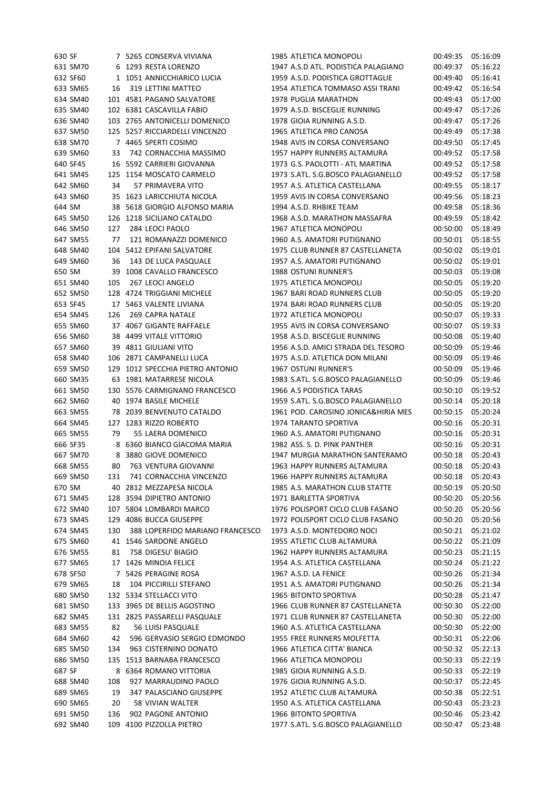| 630 SF |                      |     | 7 5265 CONSERVA VIVIANA                       | 1985 ATLETICA MONOPOLI              | 00:49:35 | 05:16:09 |
|--------|----------------------|-----|-----------------------------------------------|-------------------------------------|----------|----------|
|        | 631 SM70             |     | 6 1293 RESTA LORENZO                          | 1947 A.S.D ATL. PODISTICA PALAGIANO | 00:49:37 | 05:16:22 |
|        | 632 SF60             |     | 1 1051 ANNICCHIARICO LUCIA                    | 1959 A.S.D. PODISTICA GROTTAGLIE    | 00:49:40 | 05:16:41 |
|        | 633 SM65             | 16  | 319 LETTINI MATTEO                            | 1954 ATLETICA TOMMASO ASSI TRANI    | 00:49:42 | 05:16:54 |
|        | 634 SM40             |     | 101 4581 PAGANO SALVATORE                     | 1978 PUGLIA MARATHON                | 00:49:43 | 05:17:00 |
|        | 635 SM40             |     | 102 6381 CASCAVILLA FABIO                     | 1979 A.S.D. BISCEGLIE RUNNING       | 00:49:47 | 05:17:26 |
|        | 636 SM40             |     | 103 2765 ANTONICELLI DOMENICO                 | 1978 GIOIA RUNNING A.S.D.           | 00:49:47 | 05:17:26 |
|        | 637 SM50             |     | 125 5257 RICCIARDELLI VINCENZO                | 1965 ATLETICA PRO CANOSA            | 00:49:49 | 05:17:38 |
|        | 638 SM70             |     | 7 4465 SPERTI COSIMO                          | 1948 AVIS IN CORSA CONVERSANO       | 00:49:50 | 05:17:45 |
|        | 639 SM60             | 33  | 742 CORNACCHIA MASSIMO                        | 1957 HAPPY RUNNERS ALTAMURA         | 00:49:52 | 05:17:58 |
|        | 640 SF45             |     | 16 5592 CARRIERI GIOVANNA                     | 1973 G.S. PAOLOTTI - ATL MARTINA    | 00:49:52 | 05:17:58 |
|        | 641 SM45             |     | 125 1154 MOSCATO CARMELO                      | 1973 S.ATL. S.G.BOSCO PALAGIANELLO  | 00:49:52 | 05:17:58 |
|        | 642 SM60             | 34  | 57 PRIMAVERA VITO                             | 1957 A.S. ATLETICA CASTELLANA       | 00:49:55 | 05:18:17 |
|        | 643 SM60             |     | 35 1623 LARICCHIUTA NICOLA                    | 1959 AVIS IN CORSA CONVERSANO       | 00:49:56 | 05:18:23 |
| 644 SM |                      |     | 38 5618 GIORGIO ALFONSO MARIA                 | 1994 A.S.D. RHBIKE TEAM             | 00:49:58 | 05:18:36 |
|        | 645 SM50             |     | 126 1218 SICILIANO CATALDO                    | 1968 A.S.D. MARATHON MASSAFRA       | 00:49:59 | 05:18:42 |
|        | 646 SM50             | 127 | 284 LEOCI PAOLO                               | 1967 ATLETICA MONOPOLI              | 00:50:00 | 05:18:49 |
|        | 647 SM55             | 77  | 121 ROMANAZZI DOMENICO                        | 1960 A.S. AMATORI PUTIGNANO         | 00:50:01 | 05:18:55 |
|        | 648 SM40             |     | 104 5412 EPIFANI SALVATORE                    | 1975 CLUB RUNNER 87 CASTELLANETA    | 00:50:02 | 05:19:01 |
|        | 649 SM60             | 36  | 143 DE LUCA PASQUALE                          | 1957 A.S. AMATORI PUTIGNANO         | 00:50:02 | 05:19:01 |
| 650 SM |                      |     | 39 1008 CAVALLO FRANCESCO                     | 1988 OSTUNI RUNNER'S                | 00:50:03 | 05:19:08 |
|        | 651 SM40             | 105 | 267 LEOCI ANGELO                              | 1975 ATLETICA MONOPOLI              | 00:50:05 | 05:19:20 |
|        | 652 SM50             |     | 128 4724 TRIGGIANI MICHELE                    | 1967 BARI ROAD RUNNERS CLUB         | 00:50:05 | 05:19:20 |
|        | 653 SF45             |     | 17 5463 VALENTE LIVIANA                       | 1974 BARI ROAD RUNNERS CLUB         | 00:50:05 | 05:19:20 |
|        | 654 SM45             | 126 | <b>269 CAPRA NATALE</b>                       | 1972 ATLETICA MONOPOLI              | 00:50:07 | 05:19:33 |
|        | 655 SM60             |     | 37 4067 GIGANTE RAFFAELE                      | 1955 AVIS IN CORSA CONVERSANO       | 00:50:07 | 05:19:33 |
|        | 656 SM60             |     | 38 4499 VITALE VITTORIO                       | 1958 A.S.D. BISCEGLIE RUNNING       | 00:50:08 | 05:19:40 |
|        | 657 SM60             |     | 39 4811 GIULIANI VITO                         | 1956 A.S.D. AMICI STRADA DEL TESORO | 00:50:09 | 05:19:46 |
|        | 658 SM40             |     | 106 2871 CAMPANELLI LUCA                      | 1975 A.S.D. ATLETICA DON MILANI     | 00:50:09 | 05:19:46 |
|        | 659 SM50             |     | 129 1012 SPECCHIA PIETRO ANTONIO              | 1967 OSTUNI RUNNER'S                | 00:50:09 | 05:19:46 |
|        | 660 SM35             |     | 63 1981 MATARRESE NICOLA                      | 1983 S.ATL. S.G.BOSCO PALAGIANELLO  | 00:50:09 | 05:19:46 |
|        | 661 SM50             |     | 130 5576 CARMIGNANO FRANCESCO                 | 1966 A.S PODISTICA TARAS            | 00:50:10 | 05:19:52 |
|        | 662 SM60             |     | 40 1974 BASILE MICHELE                        | 1959 S.ATL. S.G.BOSCO PALAGIANELLO  | 00:50:14 | 05:20:18 |
|        | 663 SM55             |     | 78 2039 BENVENUTO CATALDO                     | 1961 POD. CAROSINO JONICA&HIRIA MES | 00:50:15 | 05:20:24 |
|        | 664 SM45             |     | 127 1283 RIZZO ROBERTO                        | <b>1974 TARANTO SPORTIVA</b>        | 00:50:16 | 05:20:31 |
|        | 665 SM55             | 79  | 55 LAERA DOMENICO                             | 1960 A.S. AMATORI PUTIGNANO         | 00:50:16 | 05:20:31 |
|        | 666 SF35             |     | 8 6360 BIANCO GIACOMA MARIA                   | 1982 ASS. S. D. PINK PANTHER        | 00:50:16 | 05:20:31 |
|        | 667 SM70             |     | 8 3880 GIOVE DOMENICO                         | 1947 MURGIA MARATHON SANTERAMO      | 00:50:18 | 05:20:43 |
|        | 668 SM55             | 80  | <b>763 VENTURA GIOVANNI</b>                   | 1963 HAPPY RUNNERS ALTAMURA         | 00:50:18 | 05:20:43 |
|        | 669 SM50             | 131 | 741 CORNACCHIA VINCENZO                       | 1966 HAPPY RUNNERS ALTAMURA         | 00:50:18 | 05:20:43 |
| 670 SM |                      |     | 40 2812 MEZZAPESA NICOLA                      | 1985 A.S. MARATHON CLUB STATTE      | 00:50:19 | 05:20:50 |
|        | 671 SM45             |     | 128 3594 DIPIETRO ANTONIO                     | 1971 BARLETTA SPORTIVA              | 00:50:20 | 05:20:56 |
|        | 672 SM40             |     | 107 5804 LOMBARDI MARCO                       | 1976 POLISPORT CICLO CLUB FASANO    | 00:50:20 | 05:20:56 |
|        | 673 SM45             |     | 129 4086 BUCCA GIUSEPPE                       | 1972 POLISPORT CICLO CLUB FASANO    | 00:50:20 | 05:20:56 |
|        | 674 SM45             | 130 | 388 LOPERFIDO MARIANO FRANCESCO               | 1973 A.S.D. MONTEDORO NOCI          | 00:50:21 | 05:21:02 |
|        | 675 SM60             |     | 41 1546 SARDONE ANGELO                        | 1955 ATLETIC CLUB ALTAMURA          | 00:50:22 | 05:21:09 |
|        |                      |     | 758 DIGESU' BIAGIO                            | 1962 HAPPY RUNNERS ALTAMURA         | 00:50:23 | 05:21:15 |
|        | 676 SM55<br>677 SM65 | 81  |                                               | 1954 A.S. ATLETICA CASTELLANA       |          |          |
|        |                      |     | 17 1426 MINOIA FELICE<br>7 5426 PERAGINE ROSA |                                     | 00:50:24 | 05:21:22 |
|        | 678 SF50             |     | 104 PICCIRILLI STEFANO                        | 1967 A.S.D. LA FENICE               | 00:50:26 | 05:21:34 |
|        | 679 SM65             | 18  |                                               | 1951 A.S. AMATORI PUTIGNANO         | 00:50:26 | 05:21:34 |
|        | 680 SM50             |     | 132 5334 STELLACCI VITO                       | 1965 BITONTO SPORTIVA               | 00:50:28 | 05:21:47 |
|        | 681 SM50             |     | 133 3965 DE BELLIS AGOSTINO                   | 1966 CLUB RUNNER 87 CASTELLANETA    | 00:50:30 | 05:22:00 |
|        | 682 SM45             |     | 131 2825 PASSARELLI PASQUALE                  | 1971 CLUB RUNNER 87 CASTELLANETA    | 00:50:30 | 05:22:00 |
|        | 683 SM55             | 82  | 56 LUISI PASQUALE                             | 1960 A.S. ATLETICA CASTELLANA       | 00:50:30 | 05:22:00 |
|        | 684 SM60             | 42  | 596 GERVASIO SERGIO EDMONDO                   | 1955 FREE RUNNERS MOLFETTA          | 00:50:31 | 05:22:06 |
|        | 685 SM50             | 134 | 963 CISTERNINO DONATO                         | 1966 ATLETICA CITTA' BIANCA         | 00:50:32 | 05:22:13 |
|        | 686 SM50             |     | 135 1513 BARNABA FRANCESCO                    | 1966 ATLETICA MONOPOLI              | 00:50:33 | 05:22:19 |
| 687 SF |                      |     | 8 6364 ROMANO VITTORIA                        | 1985 GIOIA RUNNING A.S.D.           | 00:50:33 | 05:22:19 |
|        | 688 SM40             | 108 | 927 MARRAUDINO PAOLO                          | 1976 GIOIA RUNNING A.S.D.           | 00:50:37 | 05:22:45 |
|        | 689 SM65             | 19  | 347 PALASCIANO GIUSEPPE                       | 1952 ATLETIC CLUB ALTAMURA          | 00:50:38 | 05:22:51 |
|        | 690 SM65             | 20  | 58 VIVIAN WALTER                              | 1950 A.S. ATLETICA CASTELLANA       | 00:50:43 | 05:23:23 |
|        | 691 SM50             | 136 | 902 PAGONE ANTONIO                            | 1966 BITONTO SPORTIVA               | 00:50:46 | 05:23:42 |
|        | 692 SM40             |     | 109 4100 PIZZOLLA PIETRO                      | 1977 S.ATL. S.G.BOSCO PALAGIANELLO  | 00:50:47 | 05:23:48 |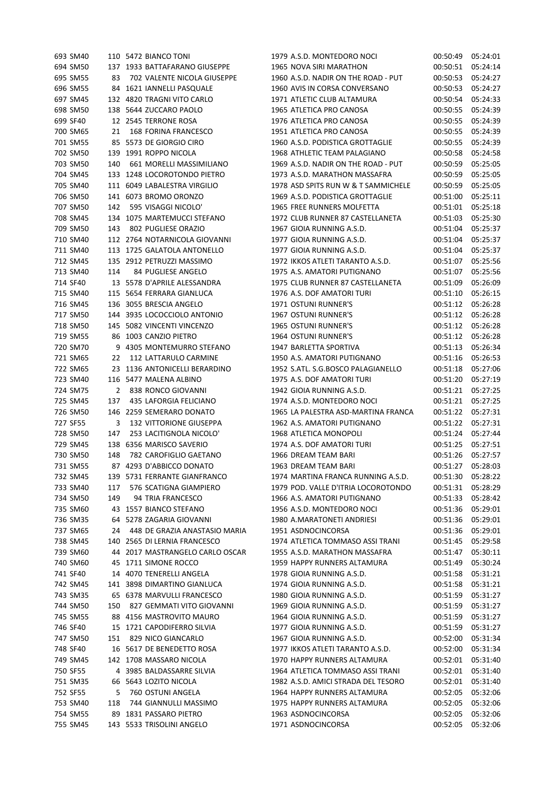| 693 SM40 |     | 110 5472 BIANCO TONI            | 1979 A.S.D. MONTEDORO NOCI          | 00:50:49 | 05:24:01 |
|----------|-----|---------------------------------|-------------------------------------|----------|----------|
| 694 SM50 |     | 137 1933 BATTAFARANO GIUSEPPE   | 1965 NOVA SIRI MARATHON             | 00:50:51 | 05:24:14 |
| 695 SM55 | 83  | 702 VALENTE NICOLA GIUSEPPE     | 1960 A.S.D. NADIR ON THE ROAD - PUT | 00:50:53 | 05:24:27 |
| 696 SM55 |     | 84 1621 IANNELLI PASQUALE       | 1960 AVIS IN CORSA CONVERSANO       | 00:50:53 | 05:24:27 |
| 697 SM45 |     | 132 4820 TRAGNI VITO CARLO      | 1971 ATLETIC CLUB ALTAMURA          | 00:50:54 | 05:24:33 |
| 698 SM50 |     | 138 5644 ZUCCARO PAOLO          | 1965 ATLETICA PRO CANOSA            | 00:50:55 | 05:24:39 |
| 699 SF40 |     | 12 2545 TERRONE ROSA            | 1976 ATLETICA PRO CANOSA            | 00:50:55 | 05:24:39 |
| 700 SM65 | 21  | 168 FORINA FRANCESCO            | 1951 ATLETICA PRO CANOSA            | 00:50:55 | 05:24:39 |
| 701 SM55 |     | 85 5573 DE GIORGIO CIRO         | 1960 A.S.D. PODISTICA GROTTAGLIE    | 00:50:55 | 05:24:39 |
| 702 SM50 |     | 139 1991 ROPPO NICOLA           | 1968 ATHLETIC TEAM PALAGIANO        | 00:50:58 | 05:24:58 |
| 703 SM50 | 140 | 661 MORELLI MASSIMILIANO        | 1969 A.S.D. NADIR ON THE ROAD - PUT | 00:50:59 | 05:25:05 |
| 704 SM45 |     | 133 1248 LOCOROTONDO PIETRO     | 1973 A.S.D. MARATHON MASSAFRA       | 00:50:59 | 05:25:05 |
| 705 SM40 |     | 111 6049 LABALESTRA VIRGILIO    | 1978 ASD SPITS RUN W & T SAMMICHELE | 00:50:59 | 05:25:05 |
| 706 SM50 |     | 141 6073 BROMO ORONZO           | 1969 A.S.D. PODISTICA GROTTAGLIE    | 00:51:00 | 05:25:11 |
| 707 SM50 | 142 | 595 VISAGGI NICOLO'             | 1965 FREE RUNNERS MOLFETTA          | 00:51:01 | 05:25:18 |
| 708 SM45 |     | 134 1075 MARTEMUCCI STEFANO     | 1972 CLUB RUNNER 87 CASTELLANETA    | 00:51:03 | 05:25:30 |
| 709 SM50 | 143 | 802 PUGLIESE ORAZIO             | 1967 GIOIA RUNNING A.S.D.           | 00:51:04 | 05:25:37 |
| 710 SM40 |     | 112 2764 NOTARNICOLA GIOVANNI   | 1977 GIOIA RUNNING A.S.D.           | 00:51:04 | 05:25:37 |
| 711 SM40 |     | 113 1725 GALATOLA ANTONELLO     | 1977 GIOIA RUNNING A.S.D.           | 00:51:04 | 05:25:37 |
| 712 SM45 |     | 135 2912 PETRUZZI MASSIMO       | 1972 IKKOS ATLETI TARANTO A.S.D.    | 00:51:07 | 05:25:56 |
| 713 SM40 | 114 | 84 PUGLIESE ANGELO              | 1975 A.S. AMATORI PUTIGNANO         | 00:51:07 | 05:25:56 |
| 714 SF40 |     | 13 5578 D'APRILE ALESSANDRA     | 1975 CLUB RUNNER 87 CASTELLANETA    | 00:51:09 | 05:26:09 |
| 715 SM40 |     | 115 5654 FERRARA GIANLUCA       | 1976 A.S. DOF AMATORI TURI          | 00:51:10 | 05:26:15 |
| 716 SM45 |     | 136 3055 BRESCIA ANGELO         | 1971 OSTUNI RUNNER'S                | 00:51:12 | 05:26:28 |
| 717 SM50 |     | 144 3935 LOCOCCIOLO ANTONIO     | 1967 OSTUNI RUNNER'S                |          | 05:26:28 |
|          |     |                                 |                                     | 00:51:12 |          |
| 718 SM50 |     | 145 5082 VINCENTI VINCENZO      | 1965 OSTUNI RUNNER'S                | 00:51:12 | 05:26:28 |
| 719 SM55 |     | 86 1003 CANZIO PIETRO           | 1964 OSTUNI RUNNER'S                | 00:51:12 | 05:26:28 |
| 720 SM70 |     | 9 4305 MONTEMURRO STEFANO       | 1947 BARLETTA SPORTIVA              | 00:51:13 | 05:26:34 |
| 721 SM65 | 22  | 112 LATTARULO CARMINE           | 1950 A.S. AMATORI PUTIGNANO         | 00:51:16 | 05:26:53 |
| 722 SM65 |     | 23 1136 ANTONICELLI BERARDINO   | 1952 S.ATL. S.G.BOSCO PALAGIANELLO  | 00:51:18 | 05:27:06 |
| 723 SM40 |     | 116 5477 MALENA ALBINO          | 1975 A.S. DOF AMATORI TURI          | 00:51:20 | 05:27:19 |
| 724 SM75 | 2   | 838 RONCO GIOVANNI              | 1942 GIOIA RUNNING A.S.D.           | 00:51:21 | 05:27:25 |
| 725 SM45 | 137 | 435 LAFORGIA FELICIANO          | 1974 A.S.D. MONTEDORO NOCI          | 00:51:21 | 05:27:25 |
| 726 SM50 |     | 146 2259 SEMERARO DONATO        | 1965 LA PALESTRA ASD-MARTINA FRANCA | 00:51:22 | 05:27:31 |
| 727 SF55 | 3   | <b>132 VITTORIONE GIUSEPPA</b>  | 1962 A.S. AMATORI PUTIGNANO         | 00:51:22 | 05:27:31 |
| 728 SM50 | 147 | 253 LACITIGNOLA NICOLO'         | 1968 ATLETICA MONOPOLI              | 00:51:24 | 05:27:44 |
| 729 SM45 |     | 138 6356 MARISCO SAVERIO        | 1974 A.S. DOF AMATORI TURI          | 00:51:25 | 05:27:51 |
| 730 SM50 | 148 | 782 CAROFIGLIO GAETANO          | 1966 DREAM TEAM BARI                | 00:51:26 | 05:27:57 |
| 731 SM55 |     | 87 4293 D'ABBICCO DONATO        | 1963 DREAM TEAM BARI                | 00:51:27 | 05:28:03 |
| 732 SM45 |     | 139 5731 FERRANTE GIANFRANCO    | 1974 MARTINA FRANCA RUNNING A.S.D.  | 00:51:30 | 05:28:22 |
| 733 SM40 | 117 | 576 SCATIGNA GIAMPIERO          | 1979 POD. VALLE D'ITRIA LOCOROTONDO | 00:51:31 | 05:28:29 |
| 734 SM50 | 149 | 94 TRIA FRANCESCO               | 1966 A.S. AMATORI PUTIGNANO         | 00:51:33 | 05:28:42 |
| 735 SM60 |     | 43 1557 BIANCO STEFANO          | 1956 A.S.D. MONTEDORO NOCI          | 00:51:36 | 05:29:01 |
| 736 SM35 |     | 64 5278 ZAGARIA GIOVANNI        | 1980 A.MARATONETI ANDRIESI          | 00:51:36 | 05:29:01 |
| 737 SM65 | 24  | 448 DE GRAZIA ANASTASIO MARIA   | 1951 ASDNOCINCORSA                  | 00:51:36 | 05:29:01 |
| 738 SM45 |     | 140 2565 DI LERNIA FRANCESCO    | 1974 ATLETICA TOMMASO ASSI TRANI    | 00:51:45 | 05:29:58 |
| 739 SM60 |     | 44 2017 MASTRANGELO CARLO OSCAR | 1955 A.S.D. MARATHON MASSAFRA       | 00:51:47 | 05:30:11 |
| 740 SM60 |     | 45 1711 SIMONE ROCCO            | 1959 HAPPY RUNNERS ALTAMURA         | 00:51:49 | 05:30:24 |
| 741 SF40 |     | 14 4070 TENERELLI ANGELA        | 1978 GIOIA RUNNING A.S.D.           | 00:51:58 | 05:31:21 |
| 742 SM45 |     | 141 3898 DIMARTINO GIANLUCA     | 1974 GIOIA RUNNING A.S.D.           | 00:51:58 | 05:31:21 |
| 743 SM35 |     | 65 6378 MARVULLI FRANCESCO      | 1980 GIOIA RUNNING A.S.D.           | 00:51:59 | 05:31:27 |
| 744 SM50 | 150 | 827 GEMMATI VITO GIOVANNI       | 1969 GIOIA RUNNING A.S.D.           | 00:51:59 | 05:31:27 |
| 745 SM55 |     | 88 4156 MASTROVITO MAURO        | 1964 GIOIA RUNNING A.S.D.           | 00:51:59 | 05:31:27 |
| 746 SF40 |     | 15 1721 CAPODIFERRO SILVIA      | 1977 GIOIA RUNNING A.S.D.           | 00:51:59 | 05:31:27 |
| 747 SM50 | 151 | 829 NICO GIANCARLO              | 1967 GIOIA RUNNING A.S.D.           | 00:52:00 | 05:31:34 |
| 748 SF40 |     | 16 5617 DE BENEDETTO ROSA       | 1977 IKKOS ATLETI TARANTO A.S.D.    | 00:52:00 | 05:31:34 |
| 749 SM45 |     | 142 1708 MASSARO NICOLA         | 1970 HAPPY RUNNERS ALTAMURA         | 00:52:01 | 05:31:40 |
| 750 SF55 |     | 4 3985 BALDASSARRE SILVIA       | 1964 ATLETICA TOMMASO ASSI TRANI    | 00:52:01 | 05:31:40 |
| 751 SM35 |     | 66 5643 LOZITO NICOLA           | 1982 A.S.D. AMICI STRADA DEL TESORO | 00:52:01 | 05:31:40 |
| 752 SF55 | 5   | 760 OSTUNI ANGELA               | 1964 HAPPY RUNNERS ALTAMURA         | 00:52:05 | 05:32:06 |
| 753 SM40 | 118 | 744 GIANNULLI MASSIMO           | 1975 HAPPY RUNNERS ALTAMURA         | 00:52:05 | 05:32:06 |
| 754 SM55 |     | 89 1831 PASSARO PIETRO          | 1963 ASDNOCINCORSA                  | 00:52:05 | 05:32:06 |
| 755 SM45 |     | 143 5533 TRISOLINI ANGELO       | 1971 ASDNOCINCORSA                  | 00:52:05 | 05:32:06 |
|          |     |                                 |                                     |          |          |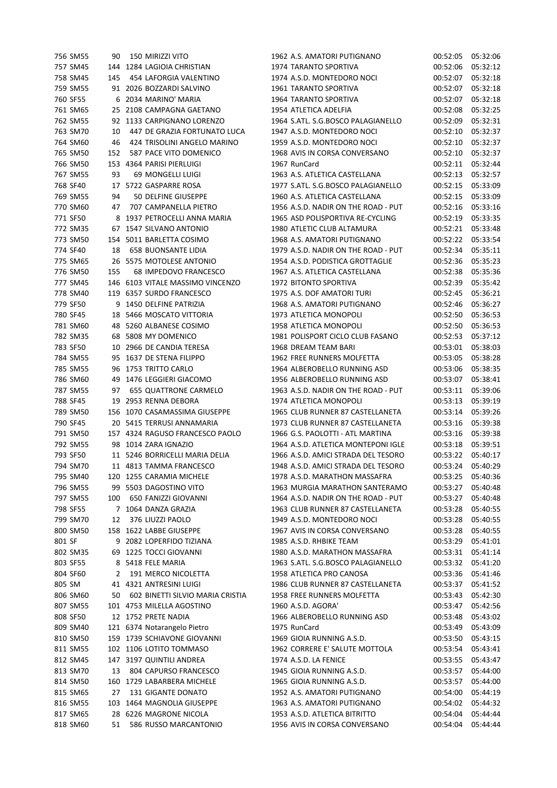|        | 756 SM55 | 90  | 150 MIRIZZI VITO                 | 1962 A.S. AMATORI PUTIGNANO         | 00:52:05 | 05:32:06 |
|--------|----------|-----|----------------------------------|-------------------------------------|----------|----------|
|        | 757 SM45 |     | 144 1284 LAGIOIA CHRISTIAN       | <b>1974 TARANTO SPORTIVA</b>        | 00:52:06 | 05:32:12 |
|        | 758 SM45 | 145 | 454 LAFORGIA VALENTINO           | 1974 A.S.D. MONTEDORO NOCI          | 00:52:07 | 05:32:18 |
|        | 759 SM55 |     | 91 2026 BOZZARDI SALVINO         | 1961 TARANTO SPORTIVA               | 00:52:07 | 05:32:18 |
|        | 760 SF55 |     | 6 2034 MARINO' MARIA             | 1964 TARANTO SPORTIVA               | 00:52:07 | 05:32:18 |
|        | 761 SM65 |     | 25 2108 CAMPAGNA GAETANO         | 1954 ATLETICA ADELFIA               | 00:52:08 | 05:32:25 |
|        | 762 SM55 |     | 92 1133 CARPIGNANO LORENZO       | 1964 S.ATL. S.G.BOSCO PALAGIANELLO  | 00:52:09 | 05:32:31 |
|        | 763 SM70 | 10  | 447 DE GRAZIA FORTUNATO LUCA     | 1947 A.S.D. MONTEDORO NOCI          | 00:52:10 | 05:32:37 |
|        | 764 SM60 | 46  | 424 TRISOLINI ANGELO MARINO      | 1959 A.S.D. MONTEDORO NOCI          | 00:52:10 | 05:32:37 |
|        | 765 SM50 | 152 | 587 PACE VITO DOMENICO           | 1968 AVIS IN CORSA CONVERSANO       | 00:52:10 | 05:32:37 |
|        |          |     |                                  |                                     |          |          |
|        | 766 SM50 |     | 153 4364 PARISI PIERLUIGI        | 1967 RunCard                        | 00:52:11 | 05:32:44 |
|        | 767 SM55 | 93  | 69 MONGELLI LUIGI                | 1963 A.S. ATLETICA CASTELLANA       | 00:52:13 | 05:32:57 |
|        | 768 SF40 |     | 17 5722 GASPARRE ROSA            | 1977 S.ATL. S.G.BOSCO PALAGIANELLO  | 00:52:15 | 05:33:09 |
|        | 769 SM55 | 94  | 50 DELFINE GIUSEPPE              | 1960 A.S. ATLETICA CASTELLANA       | 00:52:15 | 05:33:09 |
|        | 770 SM60 | 47  | 707 CAMPANELLA PIETRO            | 1956 A.S.D. NADIR ON THE ROAD - PUT | 00:52:16 | 05:33:16 |
|        | 771 SF50 |     | 8 1937 PETROCELLI ANNA MARIA     | 1965 ASD POLISPORTIVA RE-CYCLING    | 00:52:19 | 05:33:35 |
|        | 772 SM35 |     | 67 1547 SILVANO ANTONIO          | 1980 ATLETIC CLUB ALTAMURA          | 00:52:21 | 05:33:48 |
|        | 773 SM50 |     | 154 5011 BARLETTA COSIMO         | 1968 A.S. AMATORI PUTIGNANO         | 00:52:22 | 05:33:54 |
|        | 774 SF40 | 18  | <b>658 BUONSANTE LIDIA</b>       | 1979 A.S.D. NADIR ON THE ROAD - PUT | 00:52:34 | 05:35:11 |
|        | 775 SM65 |     | 26 5575 MOTOLESE ANTONIO         | 1954 A.S.D. PODISTICA GROTTAGLIE    | 00:52:36 | 05:35:23 |
|        | 776 SM50 | 155 | 68 IMPEDOVO FRANCESCO            | 1967 A.S. ATLETICA CASTELLANA       | 00:52:38 | 05:35:36 |
|        | 777 SM45 |     | 146 6103 VITALE MASSIMO VINCENZO | 1972 BITONTO SPORTIVA               | 00:52:39 | 05:35:42 |
|        | 778 SM40 |     | 119 6357 SURDO FRANCESCO         | 1975 A.S. DOF AMATORI TURI          | 00:52:45 | 05:36:21 |
|        | 779 SF50 |     | 9 1450 DELFINE PATRIZIA          | 1968 A.S. AMATORI PUTIGNANO         | 00:52:46 | 05:36:27 |
|        | 780 SF45 |     | 18 5466 MOSCATO VITTORIA         | 1973 ATLETICA MONOPOLI              |          |          |
|        |          |     |                                  |                                     | 00:52:50 | 05:36:53 |
|        | 781 SM60 |     | 48 5260 ALBANESE COSIMO          | 1958 ATLETICA MONOPOLI              | 00:52:50 | 05:36:53 |
|        | 782 SM35 |     | 68 5808 MY DOMENICO              | 1981 POLISPORT CICLO CLUB FASANO    | 00:52:53 | 05:37:12 |
|        | 783 SF50 |     | 10 2966 DE CANDIA TERESA         | 1968 DREAM TEAM BARI                | 00:53:01 | 05:38:03 |
|        | 784 SM55 |     | 95 1637 DE STENA FILIPPO         | 1962 FREE RUNNERS MOLFETTA          | 00:53:05 | 05:38:28 |
|        | 785 SM55 |     | 96 1753 TRITTO CARLO             | 1964 ALBEROBELLO RUNNING ASD        | 00:53:06 | 05:38:35 |
|        | 786 SM60 | 49  | 1476 LEGGIERI GIACOMO            | 1956 ALBEROBELLO RUNNING ASD        | 00:53:07 | 05:38:41 |
|        | 787 SM55 | 97  | <b>655 QUATTRONE CARMELO</b>     | 1963 A.S.D. NADIR ON THE ROAD - PUT | 00:53:11 | 05:39:06 |
|        | 788 SF45 | 19  | 2953 RENNA DEBORA                | 1974 ATLETICA MONOPOLI              | 00:53:13 | 05:39:19 |
|        | 789 SM50 |     | 156 1070 CASAMASSIMA GIUSEPPE    | 1965 CLUB RUNNER 87 CASTELLANETA    | 00:53:14 | 05:39:26 |
|        | 790 SF45 |     | 20 5415 TERRUSI ANNAMARIA        | 1973 CLUB RUNNER 87 CASTELLANETA    | 00:53:16 | 05:39:38 |
|        | 791 SM50 |     | 157 4324 RAGUSO FRANCESCO PAOLO  | 1966 G.S. PAOLOTTI - ATL MARTINA    | 00:53:16 | 05:39:38 |
|        | 792 SM55 |     | 98 1014 ZARA IGNAZIO             | 1964 A.S.D. ATLETICA MONTEPONI IGLE | 00:53:18 | 05:39:51 |
|        | 793 SF50 |     | 11 5246 BORRICELLI MARIA DELIA   | 1966 A.S.D. AMICI STRADA DEL TESORO | 00:53:22 | 05:40:17 |
|        | 794 SM70 |     | 11 4813 TAMMA FRANCESCO          | 1948 A.S.D. AMICI STRADA DEL TESORO | 00:53:24 | 05:40:29 |
|        |          |     | 120 1255 CARAMIA MICHELE         | 1978 A.S.D. MARATHON MASSAFRA       |          | 05:40:36 |
|        | 795 SM40 |     |                                  |                                     | 00:53:25 |          |
|        | 796 SM55 |     | 99 5503 DAGOSTINO VITO           | 1963 MURGIA MARATHON SANTERAMO      | 00:53:27 | 05:40:48 |
|        | 797 SM55 | 100 | 650 FANIZZI GIOVANNI             | 1964 A.S.D. NADIR ON THE ROAD - PUT | 00:53:27 | 05:40:48 |
|        | 798 SF55 |     | 7 1064 DANZA GRAZIA              | 1963 CLUB RUNNER 87 CASTELLANETA    | 00:53:28 | 05:40:55 |
|        | 799 SM70 | 12  | 376 LIUZZI PAOLO                 | 1949 A.S.D. MONTEDORO NOCI          | 00:53:28 | 05:40:55 |
|        | 800 SM50 |     | 158 1622 LABBE GIUSEPPE          | 1967 AVIS IN CORSA CONVERSANO       | 00:53:28 | 05:40:55 |
| 801 SF |          |     | 9 2082 LOPERFIDO TIZIANA         | 1985 A.S.D. RHBIKE TEAM             | 00:53:29 | 05:41:01 |
|        | 802 SM35 |     | 69 1225 TOCCI GIOVANNI           | 1980 A.S.D. MARATHON MASSAFRA       | 00:53:31 | 05:41:14 |
|        | 803 SF55 |     | 8 5418 FELE MARIA                | 1963 S.ATL. S.G.BOSCO PALAGIANELLO  | 00:53:32 | 05:41:20 |
|        | 804 SF60 | 2   | 191 MERCO NICOLETTA              | 1958 ATLETICA PRO CANOSA            | 00:53:36 | 05:41:46 |
| 805 SM |          |     | 41 4321 ANTRESINI LUIGI          | 1986 CLUB RUNNER 87 CASTELLANETA    | 00:53:37 | 05:41:52 |
|        | 806 SM60 | 50  | 602 BINETTI SILVIO MARIA CRISTIA | 1958 FREE RUNNERS MOLFETTA          | 00:53:43 | 05:42:30 |
|        | 807 SM55 |     | 101 4753 MILELLA AGOSTINO        | 1960 A.S.D. AGORA'                  | 00:53:47 | 05:42:56 |
|        | 808 SF50 |     | 12 1752 PRETE NADIA              | 1966 ALBEROBELLO RUNNING ASD        | 00:53:48 | 05:43:02 |
|        | 809 SM40 |     | 121 6374 Notarangelo Pietro      | 1975 RunCard                        | 00:53:49 | 05:43:09 |
|        | 810 SM50 |     | 159 1739 SCHIAVONE GIOVANNI      | 1969 GIOIA RUNNING A.S.D.           | 00:53:50 | 05:43:15 |
|        |          |     |                                  | 1962 CORRERE E' SALUTE MOTTOLA      |          |          |
|        | 811 SM55 |     | 102 1106 LOTITO TOMMASO          |                                     | 00:53:54 | 05:43:41 |
|        | 812 SM45 |     | 147 3197 QUINTILI ANDREA         | 1974 A.S.D. LA FENICE               | 00:53:55 | 05:43:47 |
|        | 813 SM70 | 13  | 804 CAPURSO FRANCESCO            | 1945 GIOIA RUNNING A.S.D.           | 00:53:57 | 05:44:00 |
|        | 814 SM50 |     | 160 1729 LABARBERA MICHELE       | 1965 GIOIA RUNNING A.S.D.           | 00:53:57 | 05:44:00 |
|        | 815 SM65 | 27  | 131 GIGANTE DONATO               | 1952 A.S. AMATORI PUTIGNANO         | 00:54:00 | 05:44:19 |
|        | 816 SM55 |     | 103 1464 MAGNOLIA GIUSEPPE       | 1963 A.S. AMATORI PUTIGNANO         | 00:54:02 | 05:44:32 |
|        | 817 SM65 |     | 28 6226 MAGRONE NICOLA           | 1953 A.S.D. ATLETICA BITRITTO       | 00:54:04 | 05:44:44 |
|        | 818 SM60 | 51  | 586 RUSSO MARCANTONIO            | 1956 AVIS IN CORSA CONVERSANO       | 00:54:04 | 05:44:44 |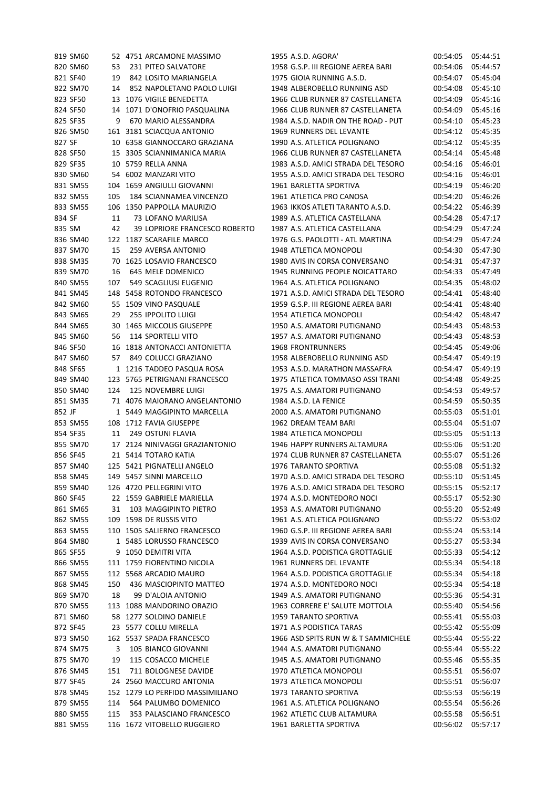|          | 819 SM60 |     | 52 4751 ARCAMONE MASSIMO                                 | 1955 A.S.D. AGORA'                  | 00:54:05 | 05:44:51 |
|----------|----------|-----|----------------------------------------------------------|-------------------------------------|----------|----------|
|          | 820 SM60 | 53  | 231 PITEO SALVATORE                                      | 1958 G.S.P. III REGIONE AEREA BARI  | 00:54:06 | 05:44:57 |
| 821 SF40 |          | 19  | 842 LOSITO MARIANGELA                                    | 1975 GIOIA RUNNING A.S.D.           | 00:54:07 | 05:45:04 |
|          | 822 SM70 | 14  | 852 NAPOLETANO PAOLO LUIGI                               | 1948 ALBEROBELLO RUNNING ASD        | 00:54:08 | 05:45:10 |
| 823 SF50 |          |     | 13 1076 VIGILE BENEDETTA                                 | 1966 CLUB RUNNER 87 CASTELLANETA    | 00:54:09 | 05:45:16 |
| 824 SF50 |          |     | 14 1071 D'ONOFRIO PASQUALINA                             | 1966 CLUB RUNNER 87 CASTELLANETA    | 00:54:09 | 05:45:16 |
| 825 SF35 |          | 9   | 670 MARIO ALESSANDRA                                     | 1984 A.S.D. NADIR ON THE ROAD - PUT | 00:54:10 | 05:45:23 |
|          | 826 SM50 |     | 161 3181 SCIACQUA ANTONIO                                | 1969 RUNNERS DEL LEVANTE            | 00:54:12 | 05:45:35 |
| 827 SF   |          |     | 10 6358 GIANNOCCARO GRAZIANA                             | 1990 A.S. ATLETICA POLIGNANO        | 00:54:12 | 05:45:35 |
| 828 SF50 |          |     | 15 3305 SCIANNIMANICA MARIA                              | 1966 CLUB RUNNER 87 CASTELLANETA    | 00:54:14 | 05:45:48 |
| 829 SF35 |          |     | 10 5759 RELLA ANNA                                       | 1983 A.S.D. AMICI STRADA DEL TESORO | 00:54:16 | 05:46:01 |
|          | 830 SM60 |     | 54 6002 MANZARI VITO                                     | 1955 A.S.D. AMICI STRADA DEL TESORO | 00:54:16 | 05:46:01 |
|          | 831 SM55 |     | 104 1659 ANGIULLI GIOVANNI                               | 1961 BARLETTA SPORTIVA              | 00:54:19 | 05:46:20 |
|          | 832 SM55 | 105 | 184 SCIANNAMEA VINCENZO                                  | 1961 ATLETICA PRO CANOSA            | 00:54:20 | 05:46:26 |
|          | 833 SM55 |     | 106 1350 PAPPOLLA MAURIZIO                               | 1963 IKKOS ATLETI TARANTO A.S.D.    | 00:54:22 | 05:46:39 |
| 834 SF   |          | 11  | 73 LOFANO MARILISA                                       | 1989 A.S. ATLETICA CASTELLANA       | 00:54:28 | 05:47:17 |
| 835 SM   |          | 42  | 39 LOPRIORE FRANCESCO ROBERTO                            | 1987 A.S. ATLETICA CASTELLANA       | 00:54:29 | 05:47:24 |
|          | 836 SM40 |     | 122 1187 SCARAFILE MARCO                                 | 1976 G.S. PAOLOTTI - ATL MARTINA    | 00:54:29 | 05:47:24 |
|          | 837 SM70 | 15  | 259 AVERSA ANTONIO                                       | 1948 ATLETICA MONOPOLI              | 00:54:30 | 05:47:30 |
|          | 838 SM35 |     | 70 1625 LOSAVIO FRANCESCO                                | 1980 AVIS IN CORSA CONVERSANO       | 00:54:31 | 05:47:37 |
|          | 839 SM70 | 16  | 645 MELE DOMENICO                                        | 1945 RUNNING PEOPLE NOICATTARO      | 00:54:33 | 05:47:49 |
|          | 840 SM55 | 107 | 549 SCAGLIUSI EUGENIO                                    | 1964 A.S. ATLETICA POLIGNANO        | 00:54:35 | 05:48:02 |
|          | 841 SM45 |     | 148 5458 ROTONDO FRANCESCO                               | 1971 A.S.D. AMICI STRADA DEL TESORO | 00:54:41 | 05:48:40 |
|          | 842 SM60 |     | 55 1509 VINO PASQUALE                                    | 1959 G.S.P. III REGIONE AEREA BARI  | 00:54:41 | 05:48:40 |
|          | 843 SM65 | 29  | <b>255 IPPOLITO LUIGI</b>                                | 1954 ATLETICA MONOPOLI              | 00:54:42 | 05:48:47 |
|          | 844 SM65 |     | 30 1465 MICCOLIS GIUSEPPE                                | 1950 A.S. AMATORI PUTIGNANO         | 00:54:43 | 05:48:53 |
|          | 845 SM60 | 56  | <b>114 SPORTELLI VITO</b>                                | 1957 A.S. AMATORI PUTIGNANO         | 00:54:43 | 05:48:53 |
| 846 SF50 |          |     | 16 1818 ANTONACCI ANTONIETTA                             | <b>1968 FRONTRUNNERS</b>            | 00:54:45 | 05:49:06 |
|          | 847 SM60 | 57  | 849 COLUCCI GRAZIANO                                     | 1958 ALBEROBELLO RUNNING ASD        | 00:54:47 | 05:49:19 |
| 848 SF65 |          |     | 1 1216 TADDEO PASQUA ROSA                                | 1953 A.S.D. MARATHON MASSAFRA       | 00:54:47 | 05:49:19 |
|          | 849 SM40 |     | 123 5765 PETRIGNANI FRANCESCO                            | 1975 ATLETICA TOMMASO ASSI TRANI    | 00:54:48 | 05:49:25 |
|          | 850 SM40 | 124 | 125 NOVEMBRE LUIGI                                       | 1975 A.S. AMATORI PUTIGNANO         | 00:54:53 | 05:49:57 |
|          | 851 SM35 |     | 71 4076 MAIORANO ANGELANTONIO                            | 1984 A.S.D. LA FENICE               | 00:54:59 | 05:50:35 |
| 852 JF   |          |     | 1 5449 MAGGIPINTO MARCELLA                               | 2000 A.S. AMATORI PUTIGNANO         | 00:55:03 | 05:51:01 |
|          | 853 SM55 |     | 108 1712 FAVIA GIUSEPPE                                  | 1962 DREAM TEAM BARI                | 00:55:04 | 05:51:07 |
| 854 SF35 |          | 11  | 249 OSTUNI FLAVIA                                        | 1984 ATLETICA MONOPOLI              | 00:55:05 | 05:51:13 |
|          | 855 SM70 |     | 17 2124 NINIVAGGI GRAZIANTONIO                           | 1946 HAPPY RUNNERS ALTAMURA         | 00:55:06 | 05:51:20 |
| 856 SF45 |          |     | 21 5414 TOTARO KATIA                                     | 1974 CLUB RUNNER 87 CASTELLANETA    | 00:55:07 | 05:51:26 |
|          | 857 SM40 |     | 125 5421 PIGNATELLI ANGELO                               | 1976 TARANTO SPORTIVA               | 00:55:08 | 05:51:32 |
|          | 858 SM45 |     | 149 5457 SINNI MARCELLO                                  | 1970 A.S.D. AMICI STRADA DEL TESORO | 00:55:10 | 05:51:45 |
|          | 859 SM40 |     | 126 4720 PELLEGRINI VITO                                 | 1976 A.S.D. AMICI STRADA DEL TESORO | 00:55:15 | 05:52:17 |
| 860 SF45 |          |     | 22 1559 GABRIELE MARIELLA                                | 1974 A.S.D. MONTEDORO NOCI          | 00:55:17 | 05:52:30 |
|          | 861 SM65 | 31  | 103 MAGGIPINTO PIETRO                                    | 1953 A.S. AMATORI PUTIGNANO         | 00:55:20 | 05:52:49 |
|          | 862 SM55 |     | 109 1598 DE RUSSIS VITO                                  | 1961 A.S. ATLETICA POLIGNANO        | 00:55:22 | 05:53:02 |
|          | 863 SM55 |     | 110 1505 SALIERNO FRANCESCO                              | 1960 G.S.P. III REGIONE AEREA BARI  | 00:55:24 | 05:53:14 |
|          | 864 SM80 |     | 1 5485 LORUSSO FRANCESCO                                 | 1939 AVIS IN CORSA CONVERSANO       | 00:55:27 | 05:53:34 |
| 865 SF55 |          | 9   | 1050 DEMITRI VITA                                        | 1964 A.S.D. PODISTICA GROTTAGLIE    | 00:55:33 | 05:54:12 |
|          | 866 SM55 |     | 111 1759 FIORENTINO NICOLA                               | 1961 RUNNERS DEL LEVANTE            | 00:55:34 | 05:54:18 |
|          | 867 SM55 |     | 112 5568 ARCADIO MAURO                                   | 1964 A.S.D. PODISTICA GROTTAGLIE    | 00:55:34 | 05:54:18 |
|          | 868 SM45 | 150 | 436 MASCIOPINTO MATTEO                                   | 1974 A.S.D. MONTEDORO NOCI          | 00:55:34 | 05:54:18 |
|          | 869 SM70 | 18  | 99 D'ALOIA ANTONIO                                       | 1949 A.S. AMATORI PUTIGNANO         | 00:55:36 | 05:54:31 |
|          | 870 SM55 |     | 113 1088 MANDORINO ORAZIO                                | 1963 CORRERE E' SALUTE MOTTOLA      | 00:55:40 | 05:54:56 |
|          | 871 SM60 |     | 58 1277 SOLDINO DANIELE                                  | 1959 TARANTO SPORTIVA               | 00:55:41 | 05:55:03 |
| 872 SF45 |          |     | 23 5577 COLLU MIRELLA                                    | 1971 A.S PODISTICA TARAS            | 00:55:42 | 05:55:09 |
|          | 873 SM50 |     | 162 5537 SPADA FRANCESCO                                 | 1966 ASD SPITS RUN W & T SAMMICHELE | 00:55:44 | 05:55:22 |
|          | 874 SM75 |     | 105 BIANCO GIOVANNI                                      | 1944 A.S. AMATORI PUTIGNANO         | 00:55:44 | 05:55:22 |
|          |          | 3   | 115 COSACCO MICHELE                                      |                                     |          | 05:55:35 |
|          | 875 SM70 | 19  |                                                          | 1945 A.S. AMATORI PUTIGNANO         | 00:55:46 |          |
|          | 876 SM45 | 151 | 711 BOLOGNESE DAVIDE                                     | 1970 ATLETICA MONOPOLI              | 00:55:51 | 05:56:07 |
| 877 SF45 |          |     | 24 2560 MACCURO ANTONIA                                  | 1973 ATLETICA MONOPOLI              | 00:55:51 | 05:56:07 |
|          | 878 SM45 |     | 152 1279 LO PERFIDO MASSIMILIANO<br>564 PALUMBO DOMENICO | 1973 TARANTO SPORTIVA               | 00:55:53 | 05:56:19 |
|          | 879 SM55 | 114 |                                                          | 1961 A.S. ATLETICA POLIGNANO        | 00:55:54 | 05:56:26 |
|          | 880 SM55 | 115 | 353 PALASCIANO FRANCESCO                                 | 1962 ATLETIC CLUB ALTAMURA          | 00:55:58 | 05:56:51 |
|          | 881 SM55 |     | 116 1672 VITOBELLO RUGGIERO                              | 1961 BARLETTA SPORTIVA              | 00:56:02 | 05:57:17 |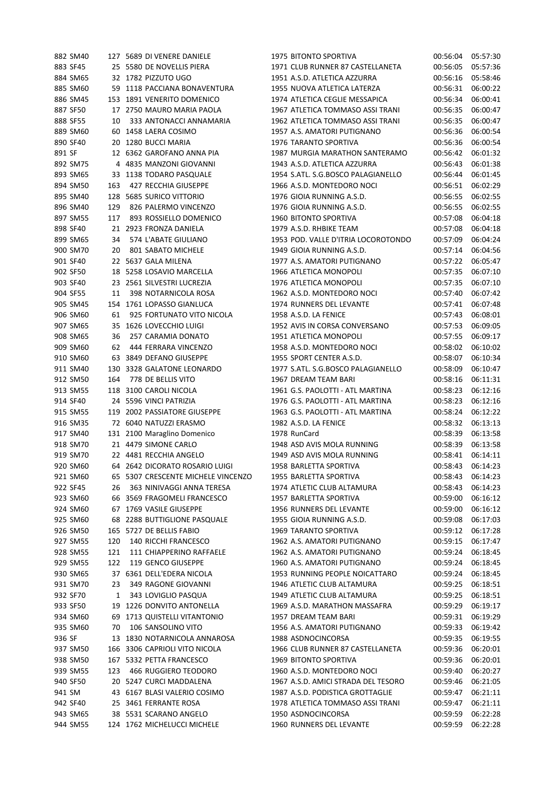|        | 882 SM40 |     | 127 5689 DI VENERE DANIELE         | 1975 BITONTO SPORTIVA               | 00:56:04 | 05:57:30 |
|--------|----------|-----|------------------------------------|-------------------------------------|----------|----------|
|        | 883 SF45 |     | 25 5580 DE NOVELLIS PIERA          | 1971 CLUB RUNNER 87 CASTELLANETA    | 00:56:05 | 05:57:36 |
|        | 884 SM65 |     | 32 1782 PIZZUTO UGO                | 1951 A.S.D. ATLETICA AZZURRA        | 00:56:16 | 05:58:46 |
|        | 885 SM60 |     | 59 1118 PACCIANA BONAVENTURA       | 1955 NUOVA ATLETICA LATERZA         | 00:56:31 | 06:00:22 |
|        | 886 SM45 |     | 153 1891 VENERITO DOMENICO         | 1974 ATLETICA CEGLIE MESSAPICA      | 00:56:34 | 06:00:41 |
|        | 887 SF50 |     | 17 2750 MAURO MARIA PAOLA          | 1967 ATLETICA TOMMASO ASSI TRANI    | 00:56:35 | 06:00:47 |
|        | 888 SF55 | 10  | 333 ANTONACCI ANNAMARIA            | 1962 ATLETICA TOMMASO ASSI TRANI    | 00:56:35 | 06:00:47 |
|        | 889 SM60 |     | 60 1458 LAERA COSIMO               | 1957 A.S. AMATORI PUTIGNANO         | 00:56:36 | 06:00:54 |
|        | 890 SF40 |     | 20 1280 BUCCI MARIA                | 1976 TARANTO SPORTIVA               | 00:56:36 | 06:00:54 |
| 891 SF |          |     | 12 6362 GAROFANO ANNA PIA          | 1987 MURGIA MARATHON SANTERAMO      | 00:56:42 | 06:01:32 |
|        | 892 SM75 |     | 4 4835 MANZONI GIOVANNI            | 1943 A.S.D. ATLETICA AZZURRA        | 00:56:43 | 06:01:38 |
|        | 893 SM65 |     | 33 1138 TODARO PASQUALE            | 1954 S.ATL. S.G.BOSCO PALAGIANELLO  | 00:56:44 | 06:01:45 |
|        | 894 SM50 | 163 | 427 RECCHIA GIUSEPPE               | 1966 A.S.D. MONTEDORO NOCI          | 00:56:51 | 06:02:29 |
|        | 895 SM40 |     | 128 5685 SURICO VITTORIO           | 1976 GIOIA RUNNING A.S.D.           | 00:56:55 | 06:02:55 |
|        | 896 SM40 | 129 | 826 PALERMO VINCENZO               | 1976 GIOIA RUNNING A.S.D.           | 00:56:55 | 06:02:55 |
|        | 897 SM55 | 117 | 893 ROSSIELLO DOMENICO             | 1960 BITONTO SPORTIVA               | 00:57:08 | 06:04:18 |
|        | 898 SF40 |     | 21 2923 FRONZA DANIELA             | 1979 A.S.D. RHBIKE TEAM             | 00:57:08 | 06:04:18 |
|        | 899 SM65 | 34  | 574 L'ABATE GIULIANO               | 1953 POD. VALLE D'ITRIA LOCOROTONDO | 00:57:09 | 06:04:24 |
|        | 900 SM70 | 20  | 801 SABATO MICHELE                 | 1949 GIOIA RUNNING A.S.D.           | 00:57:14 | 06:04:56 |
|        | 901 SF40 |     | 22 5637 GALA MILENA                | 1977 A.S. AMATORI PUTIGNANO         | 00:57:22 | 06:05:47 |
|        | 902 SF50 |     | 18 5258 LOSAVIO MARCELLA           | 1966 ATLETICA MONOPOLI              | 00:57:35 | 06:07:10 |
|        | 903 SF40 |     | 23 2561 SILVESTRI LUCREZIA         | 1976 ATLETICA MONOPOLI              | 00:57:35 | 06:07:10 |
|        | 904 SF55 | 11  | 398 NOTARNICOLA ROSA               | 1962 A.S.D. MONTEDORO NOCI          | 00:57:40 | 06:07:42 |
|        | 905 SM45 |     | 154 1761 LOPASSO GIANLUCA          | 1974 RUNNERS DEL LEVANTE            | 00:57:41 | 06:07:48 |
|        | 906 SM60 | 61  | 925 FORTUNATO VITO NICOLA          | 1958 A.S.D. LA FENICE               | 00:57:43 | 06:08:01 |
|        |          |     |                                    |                                     |          |          |
|        | 907 SM65 |     | 35 1626 LOVECCHIO LUIGI            | 1952 AVIS IN CORSA CONVERSANO       | 00:57:53 | 06:09:05 |
|        | 908 SM65 | 36  | 257 CARAMIA DONATO                 | 1951 ATLETICA MONOPOLI              | 00:57:55 | 06:09:17 |
|        | 909 SM60 | 62  | 444 FERRARA VINCENZO               | 1958 A.S.D. MONTEDORO NOCI          | 00:58:02 | 06:10:02 |
|        | 910 SM60 |     | 63 3849 DEFANO GIUSEPPE            | 1955 SPORT CENTER A.S.D.            | 00:58:07 | 06:10:34 |
|        | 911 SM40 |     | 130 3328 GALATONE LEONARDO         | 1977 S.ATL. S.G.BOSCO PALAGIANELLO  | 00:58:09 | 06:10:47 |
|        | 912 SM50 | 164 | 778 DE BELLIS VITO                 | 1967 DREAM TEAM BARI                | 00:58:16 | 06:11:31 |
|        | 913 SM55 |     | 118 3100 CAROLI NICOLA             | 1961 G.S. PAOLOTTI - ATL MARTINA    | 00:58:23 | 06:12:16 |
|        | 914 SF40 |     | 24 5596 VINCI PATRIZIA             | 1976 G.S. PAOLOTTI - ATL MARTINA    | 00:58:23 | 06:12:16 |
|        | 915 SM55 |     | 119 2002 PASSIATORE GIUSEPPE       | 1963 G.S. PAOLOTTI - ATL MARTINA    | 00:58:24 | 06:12:22 |
|        | 916 SM35 |     | 72 6040 NATUZZI ERASMO             | 1982 A.S.D. LA FENICE               | 00:58:32 | 06:13:13 |
|        | 917 SM40 |     | 131 2100 Maraglino Domenico        | 1978 RunCard                        | 00:58:39 | 06:13:58 |
|        | 918 SM70 |     | 21 4479 SIMONE CARLO               | 1948 ASD AVIS MOLA RUNNING          | 00:58:39 | 06:13:58 |
|        | 919 SM70 |     | 22 4481 RECCHIA ANGELO             | 1949 ASD AVIS MOLA RUNNING          | 00:58:41 | 06:14:11 |
|        | 920 SM60 |     | 64 2642 DICORATO ROSARIO LUIGI     | 1958 BARLETTA SPORTIVA              | 00:58:43 | 06:14:23 |
|        | 921 SM60 |     | 65 5307 CRESCENTE MICHELE VINCENZO | 1955 BARLETTA SPORTIVA              | 00:58:43 | 06:14:23 |
|        | 922 SF45 | 26  | 363 NINIVAGGI ANNA TERESA          | 1974 ATLETIC CLUB ALTAMURA          | 00:58:43 | 06:14:23 |
|        | 923 SM60 |     | 66 3569 FRAGOMELI FRANCESCO        | 1957 BARLETTA SPORTIVA              | 00:59:00 | 06:16:12 |
|        | 924 SM60 |     | 67 1769 VASILE GIUSEPPE            | 1956 RUNNERS DEL LEVANTE            | 00:59:00 | 06:16:12 |
|        | 925 SM60 |     | 68 2288 BUTTIGLIONE PASQUALE       | 1955 GIOIA RUNNING A.S.D.           | 00:59:08 | 06:17:03 |
|        | 926 SM50 |     | 165 5727 DE BELLIS FABIO           | 1969 TARANTO SPORTIVA               | 00:59:12 | 06:17:28 |
|        | 927 SM55 | 120 | 140 RICCHI FRANCESCO               | 1962 A.S. AMATORI PUTIGNANO         | 00:59:15 | 06:17:47 |
|        | 928 SM55 | 121 | 111 CHIAPPERINO RAFFAELE           | 1962 A.S. AMATORI PUTIGNANO         | 00:59:24 | 06:18:45 |
|        | 929 SM55 | 122 | 119 GENCO GIUSEPPE                 | 1960 A.S. AMATORI PUTIGNANO         | 00:59:24 | 06:18:45 |
|        | 930 SM65 |     | 37 6361 DELL'EDERA NICOLA          | 1953 RUNNING PEOPLE NOICATTARO      | 00:59:24 | 06:18:45 |
|        | 931 SM70 | 23  | 349 RAGONE GIOVANNI                | 1946 ATLETIC CLUB ALTAMURA          | 00:59:25 | 06:18:51 |
|        | 932 SF70 | 1   | 343 LOVIGLIO PASQUA                | 1949 ATLETIC CLUB ALTAMURA          | 00:59:25 | 06:18:51 |
|        | 933 SF50 |     | 19 1226 DONVITO ANTONELLA          | 1969 A.S.D. MARATHON MASSAFRA       | 00:59:29 | 06:19:17 |
|        | 934 SM60 | 69  | 1713 QUISTELLI VITANTONIO          | 1957 DREAM TEAM BARI                | 00:59:31 | 06:19:29 |
|        | 935 SM60 | 70  | 106 SANSOLINO VITO                 | 1956 A.S. AMATORI PUTIGNANO         | 00:59:33 | 06:19:42 |
| 936 SF |          |     | 13 1830 NOTARNICOLA ANNAROSA       | 1988 ASDNOCINCORSA                  | 00:59:35 | 06:19:55 |
|        | 937 SM50 |     | 166 3306 CAPRIOLI VITO NICOLA      | 1966 CLUB RUNNER 87 CASTELLANETA    | 00:59:36 | 06:20:01 |
|        | 938 SM50 |     | 167 5332 PETTA FRANCESCO           | 1969 BITONTO SPORTIVA               | 00:59:36 | 06:20:01 |
|        | 939 SM55 | 123 | 466 RUGGIERO TEODORO               | 1960 A.S.D. MONTEDORO NOCI          | 00:59:40 | 06:20:27 |
|        | 940 SF50 |     | 20 5247 CURCI MADDALENA            | 1967 A.S.D. AMICI STRADA DEL TESORO | 00:59:46 | 06:21:05 |
| 941 SM |          |     | 43 6167 BLASI VALERIO COSIMO       | 1987 A.S.D. PODISTICA GROTTAGLIE    | 00:59:47 | 06:21:11 |
|        | 942 SF40 |     | 25 3461 FERRANTE ROSA              | 1978 ATLETICA TOMMASO ASSI TRANI    | 00:59:47 | 06:21:11 |
|        | 943 SM65 |     | 38 5531 SCARANO ANGELO             | 1950 ASDNOCINCORSA                  | 00:59:59 | 06:22:28 |
|        | 944 SM55 |     | 124 1762 MICHELUCCI MICHELE        | 1960 RUNNERS DEL LEVANTE            | 00:59:59 | 06:22:28 |
|        |          |     |                                    |                                     |          |          |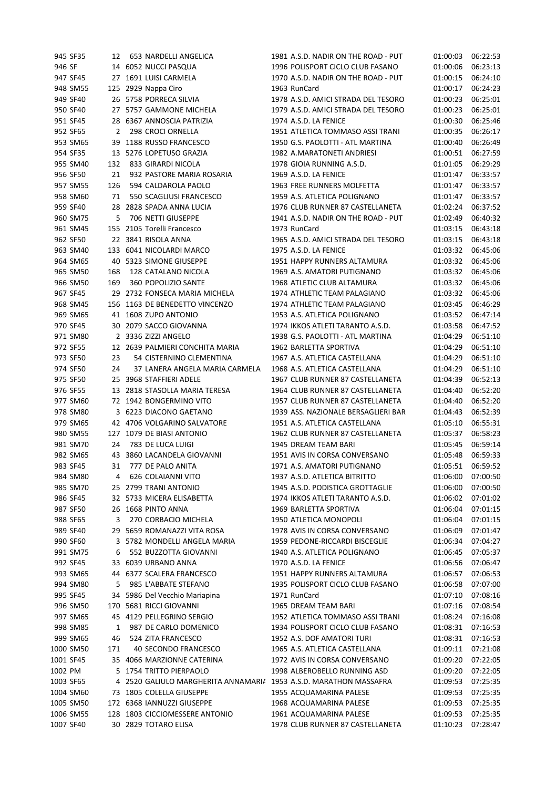|         | 945 SF35  | 12  | 653 NARDELLI ANGELICA                                             | 1981 A.S.D. NADIR ON THE ROAD - PUT                           | 01:00:03 | 06:22:53 |
|---------|-----------|-----|-------------------------------------------------------------------|---------------------------------------------------------------|----------|----------|
| 946 SF  |           |     | 14 6052 NUCCI PASQUA                                              | 1996 POLISPORT CICLO CLUB FASANO                              | 01:00:06 | 06:23:13 |
|         | 947 SF45  |     | 27 1691 LUISI CARMELA                                             | 1970 A.S.D. NADIR ON THE ROAD - PUT                           | 01:00:15 | 06:24:10 |
|         | 948 SM55  |     | 125 2929 Nappa Ciro                                               | 1963 RunCard                                                  | 01:00:17 | 06:24:23 |
|         | 949 SF40  |     | 26 5758 PORRECA SILVIA                                            | 1978 A.S.D. AMICI STRADA DEL TESORO                           | 01:00:23 | 06:25:01 |
|         | 950 SF40  |     | 27 5757 GAMMONE MICHELA                                           | 1979 A.S.D. AMICI STRADA DEL TESORO                           | 01:00:23 | 06:25:01 |
|         | 951 SF45  |     | 28 6367 ANNOSCIA PATRIZIA                                         | 1974 A.S.D. LA FENICE                                         | 01:00:30 | 06:25:46 |
|         | 952 SF65  | 2   | 298 CROCI ORNELLA                                                 | 1951 ATLETICA TOMMASO ASSI TRANI                              | 01:00:35 | 06:26:17 |
|         | 953 SM65  |     | 39 1188 RUSSO FRANCESCO                                           | 1950 G.S. PAOLOTTI - ATL MARTINA                              | 01:00:40 | 06:26:49 |
|         | 954 SF35  |     | 13 5276 LOPETUSO GRAZIA                                           | 1982 A.MARATONETI ANDRIESI                                    | 01:00:51 | 06:27:59 |
|         | 955 SM40  | 132 | 833 GIRARDI NICOLA                                                | 1978 GIOIA RUNNING A.S.D.                                     | 01:01:05 | 06:29:29 |
|         | 956 SF50  | 21  | 932 PASTORE MARIA ROSARIA                                         | 1969 A.S.D. LA FENICE                                         | 01:01:47 | 06:33:57 |
|         | 957 SM55  | 126 | 594 CALDAROLA PAOLO                                               | 1963 FREE RUNNERS MOLFETTA                                    | 01:01:47 | 06:33:57 |
|         | 958 SM60  | 71  | 550 SCAGLIUSI FRANCESCO                                           | 1959 A.S. ATLETICA POLIGNANO                                  | 01:01:47 | 06:33:57 |
|         | 959 SF40  |     | 28 2828 SPADA ANNA LUCIA                                          | 1976 CLUB RUNNER 87 CASTELLANETA                              | 01:02:24 | 06:37:52 |
|         | 960 SM75  | 5   | 706 NETTI GIUSEPPE                                                | 1941 A.S.D. NADIR ON THE ROAD - PUT                           | 01:02:49 | 06:40:32 |
|         | 961 SM45  |     | 155 2105 Torelli Francesco                                        | 1973 RunCard                                                  | 01:03:15 | 06:43:18 |
|         |           |     | 22 3841 RISOLA ANNA                                               |                                                               |          |          |
|         | 962 SF50  |     |                                                                   | 1965 A.S.D. AMICI STRADA DEL TESORO                           | 01:03:15 | 06:43:18 |
|         | 963 SM40  |     | 133 6041 NICOLARDI MARCO                                          | 1975 A.S.D. LA FENICE                                         | 01:03:32 | 06:45:06 |
|         | 964 SM65  |     | 40 5323 SIMONE GIUSEPPE                                           | 1951 HAPPY RUNNERS ALTAMURA                                   | 01:03:32 | 06:45:06 |
|         | 965 SM50  | 168 | 128 CATALANO NICOLA                                               | 1969 A.S. AMATORI PUTIGNANO                                   | 01:03:32 | 06:45:06 |
|         | 966 SM50  | 169 | 360 POPOLIZIO SANTE                                               | 1968 ATLETIC CLUB ALTAMURA                                    | 01:03:32 | 06:45:06 |
|         | 967 SF45  |     | 29 2732 FONSECA MARIA MICHELA                                     | 1974 ATHLETIC TEAM PALAGIANO                                  | 01:03:32 | 06:45:06 |
|         | 968 SM45  |     | 156 1163 DE BENEDETTO VINCENZO                                    | 1974 ATHLETIC TEAM PALAGIANO                                  | 01:03:45 | 06:46:29 |
|         | 969 SM65  |     | 41 1608 ZUPO ANTONIO                                              | 1953 A.S. ATLETICA POLIGNANO                                  | 01:03:52 | 06:47:14 |
|         | 970 SF45  |     | 30 2079 SACCO GIOVANNA                                            | 1974 IKKOS ATLETI TARANTO A.S.D.                              | 01:03:58 | 06:47:52 |
|         | 971 SM80  |     | 2 3336 ZIZZI ANGELO                                               | 1938 G.S. PAOLOTTI - ATL MARTINA                              | 01:04:29 | 06:51:10 |
|         | 972 SF55  |     | 12 2639 PALMIERI CONCHITA MARIA                                   | 1962 BARLETTA SPORTIVA                                        | 01:04:29 | 06:51:10 |
|         | 973 SF50  | 23  | 54 CISTERNINO CLEMENTINA                                          | 1967 A.S. ATLETICA CASTELLANA                                 | 01:04:29 | 06:51:10 |
|         | 974 SF50  | 24  | 37 LANERA ANGELA MARIA CARMELA                                    | 1968 A.S. ATLETICA CASTELLANA                                 | 01:04:29 | 06:51:10 |
|         | 975 SF50  |     | 25 3968 STAFFIERI ADELE                                           | 1967 CLUB RUNNER 87 CASTELLANETA                              | 01:04:39 | 06:52:13 |
|         | 976 SF55  |     | 13 2818 STASOLLA MARIA TERESA                                     | 1964 CLUB RUNNER 87 CASTELLANETA                              | 01:04:40 | 06:52:20 |
|         | 977 SM60  |     | 72 1942 BONGERMINO VITO                                           | 1957 CLUB RUNNER 87 CASTELLANETA                              | 01:04:40 | 06:52:20 |
|         | 978 SM80  |     | 3 6223 DIACONO GAETANO                                            | 1939 ASS. NAZIONALE BERSAGLIERI BAR                           | 01:04:43 | 06:52:39 |
|         | 979 SM65  |     | 42 4706 VOLGARINO SALVATORE                                       | 1951 A.S. ATLETICA CASTELLANA                                 | 01:05:10 | 06:55:31 |
|         | 980 SM55  |     | 127 1079 DE BIASI ANTONIO                                         | 1962 CLUB RUNNER 87 CASTELLANETA                              | 01:05:37 | 06:58:23 |
|         | 981 SM70  | 24  | 783 DE LUCA LUIGI                                                 | 1945 DREAM TEAM BARI                                          | 01:05:45 | 06:59:14 |
|         | 982 SM65  |     | 43 3860 LACANDELA GIOVANNI                                        | 1951 AVIS IN CORSA CONVERSANO                                 | 01:05:48 | 06:59:33 |
|         | 983 SF45  | 31  | 777 DE PALO ANITA                                                 | 1971 A.S. AMATORI PUTIGNANO                                   | 01:05:51 | 06:59:52 |
|         | 984 SM80  | 4   | <b>626 COLAIANNI VITO</b>                                         | 1937 A.S.D. ATLETICA BITRITTO                                 | 01:06:00 | 07:00:50 |
|         | 985 SM70  |     | 25 2799 TRANI ANTONIO                                             | 1945 A.S.D. PODISTICA GROTTAGLIE                              | 01:06:00 | 07:00:50 |
|         | 986 SF45  |     | 32 5733 MICERA ELISABETTA                                         | 1974 IKKOS ATLETI TARANTO A.S.D.                              | 01:06:02 | 07:01:02 |
|         | 987 SF50  |     | 26 1668 PINTO ANNA                                                | 1969 BARLETTA SPORTIVA                                        | 01:06:04 | 07:01:15 |
|         | 988 SF65  | 3   | 270 CORBACIO MICHELA                                              | 1950 ATLETICA MONOPOLI                                        | 01:06:04 | 07:01:15 |
|         | 989 SF40  |     | 29 5659 ROMANAZZI VITA ROSA                                       | 1978 AVIS IN CORSA CONVERSANO                                 | 01:06:09 | 07:01:47 |
|         | 990 SF60  |     | 3 5782 MONDELLI ANGELA MARIA                                      | 1959 PEDONE-RICCARDI BISCEGLIE                                | 01:06:34 | 07:04:27 |
|         | 991 SM75  | 6   | 552 BUZZOTTA GIOVANNI                                             | 1940 A.S. ATLETICA POLIGNANO                                  | 01:06:45 | 07:05:37 |
|         | 992 SF45  |     | 33 6039 URBANO ANNA                                               | 1970 A.S.D. LA FENICE                                         | 01:06:56 | 07:06:47 |
|         | 993 SM65  |     | 44 6377 SCALERA FRANCESCO                                         | 1951 HAPPY RUNNERS ALTAMURA                                   | 01:06:57 | 07:06:53 |
|         | 994 SM80  | 5   | 985 L'ABBATE STEFANO                                              | 1935 POLISPORT CICLO CLUB FASANO                              | 01:06:58 | 07:07:00 |
|         | 995 SF45  |     | 34 5986 Del Vecchio Mariapina                                     | 1971 RunCard                                                  | 01:07:10 | 07:08:16 |
|         | 996 SM50  |     | 170 5681 RICCI GIOVANNI                                           | 1965 DREAM TEAM BARI                                          | 01:07:16 | 07:08:54 |
|         | 997 SM65  |     | 45 4129 PELLEGRINO SERGIO                                         | 1952 ATLETICA TOMMASO ASSI TRANI                              | 01:08:24 | 07:16:08 |
|         | 998 SM85  | 1   | 987 DE CARLO DOMENICO                                             | 1934 POLISPORT CICLO CLUB FASANO                              | 01:08:31 | 07:16:53 |
|         | 999 SM65  | 46  | 524 ZITA FRANCESCO                                                | 1952 A.S. DOF AMATORI TURI                                    | 01:08:31 | 07:16:53 |
|         | 1000 SM50 | 171 | 40 SECONDO FRANCESCO                                              | 1965 A.S. ATLETICA CASTELLANA                                 | 01:09:11 | 07:21:08 |
|         |           |     |                                                                   |                                                               |          |          |
| 1002 PM | 1001 SF45 |     | 35 4066 MARZIONNE CATERINA<br>5 1754 TRITTO PIERPAOLO             | 1972 AVIS IN CORSA CONVERSANO<br>1998 ALBEROBELLO RUNNING ASD | 01:09:20 | 07:22:05 |
|         |           |     |                                                                   |                                                               | 01:09:20 | 07:22:05 |
|         | 1003 SF65 |     | 4 2520 GALIULO MARGHERITA ANNAMARIA 1953 A.S.D. MARATHON MASSAFRA |                                                               | 01:09:53 | 07:25:35 |
|         | 1004 SM60 |     | 73 1805 COLELLA GIUSEPPE                                          | 1955 ACQUAMARINA PALESE                                       | 01:09:53 | 07:25:35 |
|         | 1005 SM50 |     | 172 6368 IANNUZZI GIUSEPPE                                        | 1968 ACQUAMARINA PALESE                                       | 01:09:53 | 07:25:35 |
|         | 1006 SM55 |     | 128 1803 CICCIOMESSERE ANTONIO                                    | 1961 ACQUAMARINA PALESE                                       | 01:09:53 | 07:25:35 |
|         | 1007 SF40 |     | 30 2829 TOTARO ELISA                                              | 1978 CLUB RUNNER 87 CASTELLANETA                              | 01:10:23 | 07:28:47 |